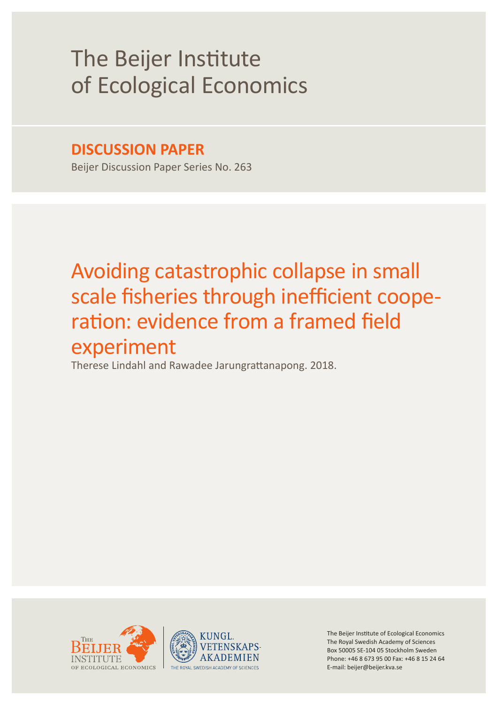# The Beijer Institute of Ecological Economics

## **DISCUSSION PAPER**

Beijer Discussion Paper Series No. 263

## Avoiding catastrophic collapse in small scale fisheries through inefficient cooperation: evidence from a framed field experiment

Therese Lindahl and Rawadee Jarungrattanapong. 2018.





The Beijer Institute of Ecological Economics The Royal Swedish Academy of Sciences Box 50005 SE-104 05 Stockholm Sweden Phone: +46 8 673 95 00 Fax: +46 8 15 24 64 E-mail: beijer@beijer.kva.se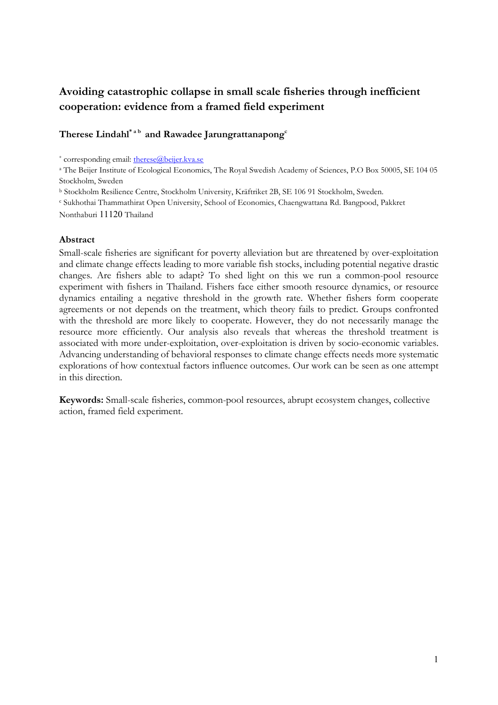## Avoiding catastrophic collapse in small scale fisheries through inefficient cooperation: evidence from a framed field experiment

### Therese Lindahl\*<sup>ab</sup> and Rawadee Jarungrattanapong<sup>c</sup>

\* corresponding email: [therese@beijer.kva.se](mailto:therese@beijer.kva.se)

<sup>a</sup> The Beijer Institute of Ecological Economics, The Royal Swedish Academy of Sciences, P.O Box 50005, SE 104 05 Stockholm, Sweden

<sup>b</sup> Stockholm Resilience Centre, Stockholm University, Kräftriket 2B, SE 106 91 Stockholm, Sweden.

<sup>c</sup> Sukhothai Thammathirat Open University, School of Economics, Chaengwattana Rd. Bangpood, Pakkret

Nonthaburi 11120 Thailand

#### Abstract

Small-scale fisheries are significant for poverty alleviation but are threatened by over-exploitation and climate change effects leading to more variable fish stocks, including potential negative drastic changes. Are fishers able to adapt? To shed light on this we run a common-pool resource experiment with fishers in Thailand. Fishers face either smooth resource dynamics, or resource dynamics entailing a negative threshold in the growth rate. Whether fishers form cooperate agreements or not depends on the treatment, which theory fails to predict. Groups confronted with the threshold are more likely to cooperate. However, they do not necessarily manage the resource more efficiently. Our analysis also reveals that whereas the threshold treatment is associated with more under-exploitation, over-exploitation is driven by socio-economic variables. Advancing understanding of behavioral responses to climate change effects needs more systematic explorations of how contextual factors influence outcomes. Our work can be seen as one attempt in this direction.

Keywords: Small-scale fisheries, common-pool resources, abrupt ecosystem changes, collective action, framed field experiment.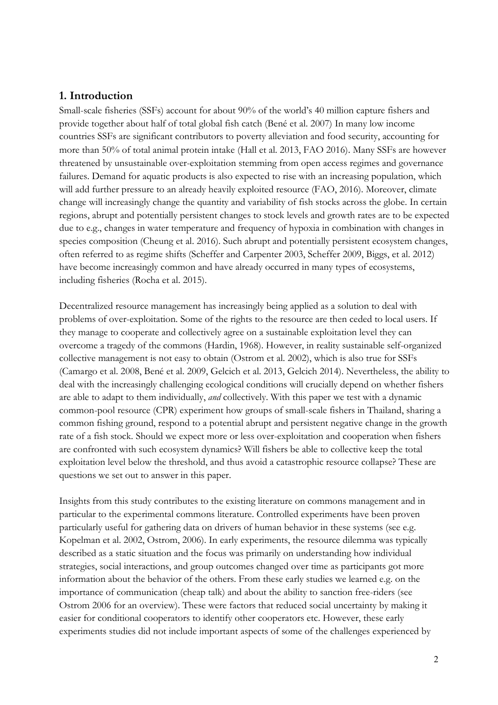## 1. Introduction

Small-scale fisheries (SSFs) account for about 90% of the world's 40 million capture fishers and provide together about half of total global fish catch (Bené et al. 2007) In many low income countries SSFs are significant contributors to poverty alleviation and food security, accounting for more than 50% of total animal protein intake (Hall et al. 2013, FAO 2016). Many SSFs are however threatened by unsustainable over-exploitation stemming from open access regimes and governance failures. Demand for aquatic products is also expected to rise with an increasing population, which will add further pressure to an already heavily exploited resource (FAO, 2016). Moreover, climate change will increasingly change the quantity and variability of fish stocks across the globe. In certain regions, abrupt and potentially persistent changes to stock levels and growth rates are to be expected due to e.g., changes in water temperature and frequency of hypoxia in combination with changes in species composition (Cheung et al. 2016). Such abrupt and potentially persistent ecosystem changes, often referred to as regime shifts (Scheffer and Carpenter 2003, Scheffer 2009, Biggs, et al. 2012) have become increasingly common and have already occurred in many types of ecosystems, including fisheries (Rocha et al. 2015).

Decentralized resource management has increasingly being applied as a solution to deal with problems of over-exploitation. Some of the rights to the resource are then ceded to local users. If they manage to cooperate and collectively agree on a sustainable exploitation level they can overcome a tragedy of the commons (Hardin, 1968). However, in reality sustainable self-organized collective management is not easy to obtain (Ostrom et al. 2002), which is also true for SSFs (Camargo et al. 2008, Bené et al. 2009, Gelcich et al. 2013, Gelcich 2014). Nevertheless, the ability to deal with the increasingly challenging ecological conditions will crucially depend on whether fishers are able to adapt to them individually, *and* collectively. With this paper we test with a dynamic common-pool resource (CPR) experiment how groups of small-scale fishers in Thailand, sharing a common fishing ground, respond to a potential abrupt and persistent negative change in the growth rate of a fish stock. Should we expect more or less over-exploitation and cooperation when fishers are confronted with such ecosystem dynamics? Will fishers be able to collective keep the total exploitation level below the threshold, and thus avoid a catastrophic resource collapse? These are questions we set out to answer in this paper.

Insights from this study contributes to the existing literature on commons management and in particular to the experimental commons literature. Controlled experiments have been proven particularly useful for gathering data on drivers of human behavior in these systems (see e.g. Kopelman et al. 2002, Ostrom, 2006). In early experiments, the resource dilemma was typically described as a static situation and the focus was primarily on understanding how individual strategies, social interactions, and group outcomes changed over time as participants got more information about the behavior of the others. From these early studies we learned e.g. on the importance of communication (cheap talk) and about the ability to sanction free-riders (see Ostrom 2006 for an overview). These were factors that reduced social uncertainty by making it easier for conditional cooperators to identify other cooperators etc. However, these early experiments studies did not include important aspects of some of the challenges experienced by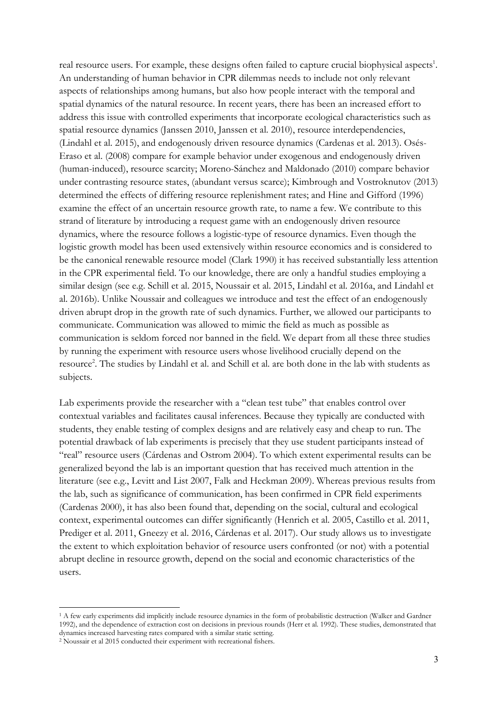real resource users. For example, these designs often failed to capture crucial biophysical aspects<sup>1</sup>. An understanding of human behavior in CPR dilemmas needs to include not only relevant aspects of relationships among humans, but also how people interact with the temporal and spatial dynamics of the natural resource. In recent years, there has been an increased effort to address this issue with controlled experiments that incorporate ecological characteristics such as spatial resource dynamics (Janssen 2010, Janssen et al. 2010), resource interdependencies, (Lindahl et al. 2015), and endogenously driven resource dynamics (Cardenas et al. 2013). Osés-Eraso et al. (2008) compare for example behavior under exogenous and endogenously driven (human-induced), resource scarcity; Moreno-Sánchez and Maldonado (2010) compare behavior under contrasting resource states, (abundant versus scarce); Kimbrough and Vostroknutov (2013) determined the effects of differing resource replenishment rates; and Hine and Gifford (1996) examine the effect of an uncertain resource growth rate, to name a few. We contribute to this strand of literature by introducing a request game with an endogenously driven resource dynamics, where the resource follows a logistic-type of resource dynamics. Even though the logistic growth model has been used extensively within resource economics and is considered to be the canonical renewable resource model (Clark 1990) it has received substantially less attention in the CPR experimental field. To our knowledge, there are only a handful studies employing a similar design (see e.g. Schill et al. 2015, Noussair et al. 2015, Lindahl et al. 2016a, and Lindahl et al. 2016b). Unlike Noussair and colleagues we introduce and test the effect of an endogenously driven abrupt drop in the growth rate of such dynamics. Further, we allowed our participants to communicate. Communication was allowed to mimic the field as much as possible as communication is seldom forced nor banned in the field. We depart from all these three studies by running the experiment with resource users whose livelihood crucially depend on the resource<sup>2</sup>. The studies by Lindahl et al. and Schill et al. are both done in the lab with students as subjects.

Lab experiments provide the researcher with a "clean test tube" that enables control over contextual variables and facilitates causal inferences. Because they typically are conducted with students, they enable testing of complex designs and are relatively easy and cheap to run. The potential drawback of lab experiments is precisely that they use student participants instead of "real" resource users (Cárdenas and Ostrom 2004). To which extent experimental results can be generalized beyond the lab is an important question that has received much attention in the literature (see e.g., Levitt and List 2007, Falk and Heckman 2009). Whereas previous results from the lab, such as significance of communication, has been confirmed in CPR field experiments (Cardenas 2000), it has also been found that, depending on the social, cultural and ecological context, experimental outcomes can differ significantly (Henrich et al. 2005, Castillo et al. 2011, Prediger et al. 2011, Gneezy et al. 2016, Cárdenas et al. 2017). Our study allows us to investigate the extent to which exploitation behavior of resource users confronted (or not) with a potential abrupt decline in resource growth, depend on the social and economic characteristics of the users.

 $\overline{a}$ 

<sup>1</sup> A few early experiments did implicitly include resource dynamics in the form of probabilistic destruction (Walker and Gardner 1992), and the dependence of extraction cost on decisions in previous rounds (Herr et al. 1992). These studies, demonstrated that dynamics increased harvesting rates compared with a similar static setting.

<sup>2</sup> Noussair et al 2015 conducted their experiment with recreational fishers.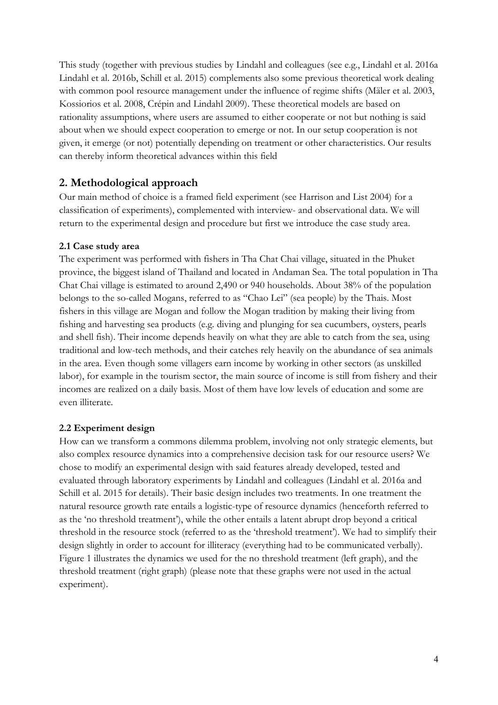This study (together with previous studies by Lindahl and colleagues (see e.g., Lindahl et al. 2016a Lindahl et al. 2016b, Schill et al. 2015) complements also some previous theoretical work dealing with common pool resource management under the influence of regime shifts (Mäler et al. 2003, Kossiorios et al. 2008, Crépin and Lindahl 2009). These theoretical models are based on rationality assumptions, where users are assumed to either cooperate or not but nothing is said about when we should expect cooperation to emerge or not. In our setup cooperation is not given, it emerge (or not) potentially depending on treatment or other characteristics. Our results can thereby inform theoretical advances within this field

## 2. Methodological approach

Our main method of choice is a framed field experiment (see Harrison and List 2004) for a classification of experiments), complemented with interview- and observational data. We will return to the experimental design and procedure but first we introduce the case study area.

#### 2.1 Case study area

The experiment was performed with fishers in Tha Chat Chai village, situated in the Phuket province, the biggest island of Thailand and located in Andaman Sea. The total population in Tha Chat Chai village is estimated to around 2,490 or 940 households. About 38% of the population belongs to the so-called Mogans, referred to as "Chao Lei" (sea people) by the Thais. Most fishers in this village are Mogan and follow the Mogan tradition by making their living from fishing and harvesting sea products (e.g. diving and plunging for sea cucumbers, oysters, pearls and shell fish). Their income depends heavily on what they are able to catch from the sea, using traditional and low-tech methods, and their catches rely heavily on the abundance of sea animals in the area. Even though some villagers earn income by working in other sectors (as unskilled labor), for example in the tourism sector, the main source of income is still from fishery and their incomes are realized on a daily basis. Most of them have low levels of education and some are even illiterate.

#### 2.2 Experiment design

How can we transform a commons dilemma problem, involving not only strategic elements, but also complex resource dynamics into a comprehensive decision task for our resource users? We chose to modify an experimental design with said features already developed, tested and evaluated through laboratory experiments by Lindahl and colleagues (Lindahl et al. 2016a and Schill et al. 2015 for details). Their basic design includes two treatments. In one treatment the natural resource growth rate entails a logistic-type of resource dynamics (henceforth referred to as the 'no threshold treatment'), while the other entails a latent abrupt drop beyond a critical threshold in the resource stock (referred to as the 'threshold treatment'). We had to simplify their design slightly in order to account for illiteracy (everything had to be communicated verbally). Figure 1 illustrates the dynamics we used for the no threshold treatment (left graph), and the threshold treatment (right graph) (please note that these graphs were not used in the actual experiment).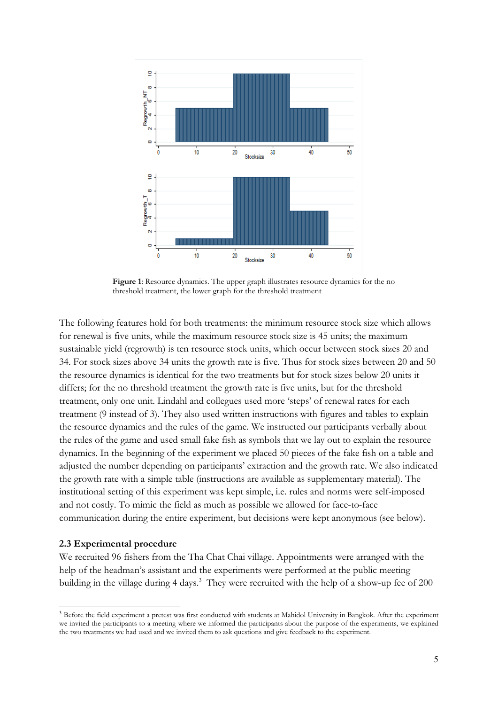

Figure 1: Resource dynamics. The upper graph illustrates resource dynamics for the no threshold treatment, the lower graph for the threshold treatment

The following features hold for both treatments: the minimum resource stock size which allows for renewal is five units, while the maximum resource stock size is 45 units; the maximum sustainable yield (regrowth) is ten resource stock units, which occur between stock sizes 20 and 34. For stock sizes above 34 units the growth rate is five. Thus for stock sizes between 20 and 50 the resource dynamics is identical for the two treatments but for stock sizes below 20 units it differs; for the no threshold treatment the growth rate is five units, but for the threshold treatment, only one unit. Lindahl and collegues used more 'steps' of renewal rates for each treatment (9 instead of 3). They also used written instructions with figures and tables to explain the resource dynamics and the rules of the game. We instructed our participants verbally about the rules of the game and used small fake fish as symbols that we lay out to explain the resource dynamics. In the beginning of the experiment we placed 50 pieces of the fake fish on a table and adjusted the number depending on participants' extraction and the growth rate. We also indicated the growth rate with a simple table (instructions are available as supplementary material). The institutional setting of this experiment was kept simple, i.e. rules and norms were self-imposed and not costly. To mimic the field as much as possible we allowed for face-to-face communication during the entire experiment, but decisions were kept anonymous (see below).

#### 2.3 Experimental procedure

We recruited 96 fishers from the Tha Chat Chai village. Appointments were arranged with the help of the headman's assistant and the experiments were performed at the public meeting building in the village during 4 days.<sup>3</sup> They were recruited with the help of a show-up fee of 200

 <sup>3</sup> Before the field experiment a pretest was first conducted with students at Mahidol University in Bangkok. After the experiment we invited the participants to a meeting where we informed the participants about the purpose of the experiments, we explained the two treatments we had used and we invited them to ask questions and give feedback to the experiment.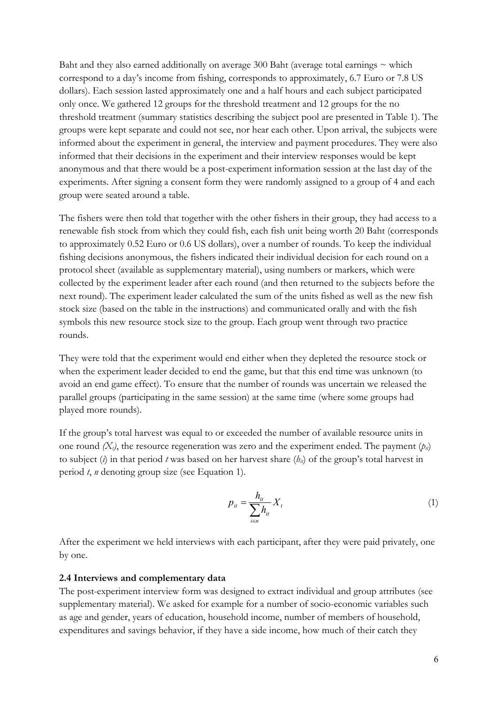Baht and they also earned additionally on average 300 Baht (average total earnings  $\sim$  which correspond to a day's income from fishing, corresponds to approximately, 6.7 Euro or 7.8 US dollars). Each session lasted approximately one and a half hours and each subject participated only once. We gathered 12 groups for the threshold treatment and 12 groups for the no threshold treatment (summary statistics describing the subject pool are presented in Table 1). The groups were kept separate and could not see, nor hear each other. Upon arrival, the subjects were informed about the experiment in general, the interview and payment procedures. They were also informed that their decisions in the experiment and their interview responses would be kept anonymous and that there would be a post-experiment information session at the last day of the experiments. After signing a consent form they were randomly assigned to a group of 4 and each group were seated around a table.

The fishers were then told that together with the other fishers in their group, they had access to a renewable fish stock from which they could fish, each fish unit being worth 20 Baht (corresponds to approximately 0.52 Euro or 0.6 US dollars), over a number of rounds. To keep the individual fishing decisions anonymous, the fishers indicated their individual decision for each round on a protocol sheet (available as supplementary material), using numbers or markers, which were collected by the experiment leader after each round (and then returned to the subjects before the next round). The experiment leader calculated the sum of the units fished as well as the new fish stock size (based on the table in the instructions) and communicated orally and with the fish symbols this new resource stock size to the group. Each group went through two practice rounds.

They were told that the experiment would end either when they depleted the resource stock or when the experiment leader decided to end the game, but that this end time was unknown (to avoid an end game effect). To ensure that the number of rounds was uncertain we released the parallel groups (participating in the same session) at the same time (where some groups had played more rounds).

If the group's total harvest was equal to or exceeded the number of available resource units in one round  $(X_i)$ , the resource regeneration was zero and the experiment ended. The payment  $(p_i)$ to subject (*i*) in that period *t* was based on her harvest share  $(h<sub>i</sub>)$  of the group's total harvest in period *t*, *n* denoting group size (see Equation 1).

$$
p_{it} = \frac{h_{it}}{\sum_{i \in n} h_{it}} X_t \tag{1}
$$

After the experiment we held interviews with each participant, after they were paid privately, one by one.

#### 2.4 Interviews and complementary data

The post-experiment interview form was designed to extract individual and group attributes (see supplementary material). We asked for example for a number of socio-economic variables such as age and gender, years of education, household income, number of members of household, expenditures and savings behavior, if they have a side income, how much of their catch they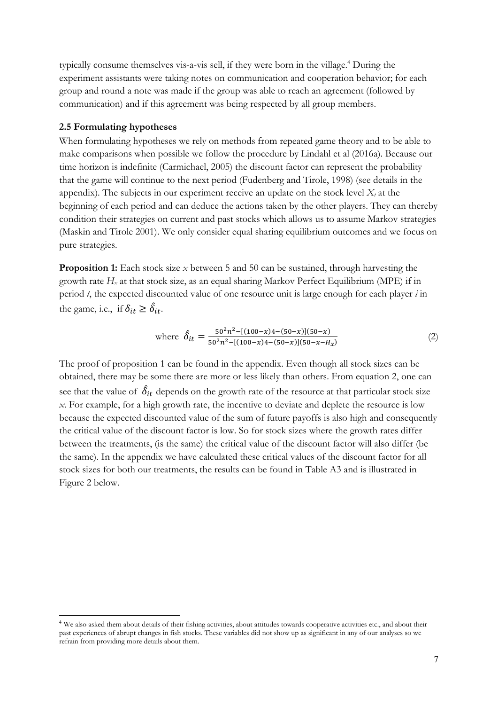typically consume themselves vis-a-vis sell, if they were born in the village. <sup>4</sup> During the experiment assistants were taking notes on communication and cooperation behavior; for each group and round a note was made if the group was able to reach an agreement (followed by communication) and if this agreement was being respected by all group members.

#### 2.5 Formulating hypotheses

When formulating hypotheses we rely on methods from repeated game theory and to be able to make comparisons when possible we follow the procedure by Lindahl et al (2016a). Because our time horizon is indefinite (Carmichael, 2005) the discount factor can represent the probability that the game will continue to the next period (Fudenberg and Tirole, 1998) (see details in the appendix). The subjects in our experiment receive an update on the stock level  $X_t$  at the beginning of each period and can deduce the actions taken by the other players. They can thereby condition their strategies on current and past stocks which allows us to assume Markov strategies (Maskin and Tirole 2001). We only consider equal sharing equilibrium outcomes and we focus on pure strategies.

**Proposition 1:** Each stock size *x* between 5 and 50 can be sustained, through harvesting the growth rate  $H_x$  at that stock size, as an equal sharing Markov Perfect Equilibrium (MPE) if in period *t*, the expected discounted value of one resource unit is large enough for each player *i* in the game, i.e., if  $\delta_{it} \geq \hat{\delta}_{it}$ .

where 
$$
\hat{\delta}_{it} = \frac{50^2 n^2 - [(100 - x)4 - (50 - x)](50 - x)}{50^2 n^2 - [(100 - x)4 - (50 - x)](50 - x - H_x)}
$$
(2)

The proof of proposition 1 can be found in the appendix. Even though all stock sizes can be obtained, there may be some there are more or less likely than others. From equation 2, one can see that the value of  $\,\delta_{it}$  depends on the growth rate of the resource at that particular stock size *x*. For example, for a high growth rate, the incentive to deviate and deplete the resource is low because the expected discounted value of the sum of future payoffs is also high and consequently the critical value of the discount factor is low. So for stock sizes where the growth rates differ between the treatments, (is the same) the critical value of the discount factor will also differ (be the same). In the appendix we have calculated these critical values of the discount factor for all stock sizes for both our treatments, the results can be found in Table A3 and is illustrated in Figure 2 below.

<sup>&</sup>lt;sup>4</sup> We also asked them about details of their fishing activities, about attitudes towards cooperative activities etc., and about their past experiences of abrupt changes in fish stocks. These variables did not show up as significant in any of our analyses so we refrain from providing more details about them.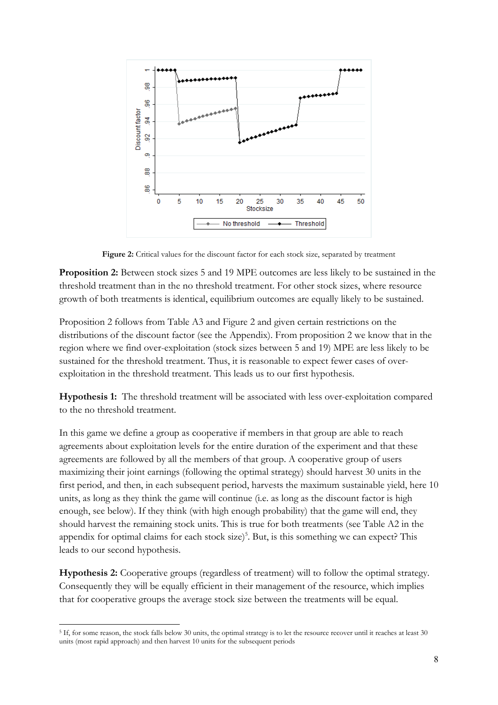

Figure 2: Critical values for the discount factor for each stock size, separated by treatment

Proposition 2: Between stock sizes 5 and 19 MPE outcomes are less likely to be sustained in the threshold treatment than in the no threshold treatment. For other stock sizes, where resource growth of both treatments is identical, equilibrium outcomes are equally likely to be sustained.

Proposition 2 follows from Table A3 and Figure 2 and given certain restrictions on the distributions of the discount factor (see the Appendix). From proposition 2 we know that in the region where we find over-exploitation (stock sizes between 5 and 19) MPE are less likely to be sustained for the threshold treatment. Thus, it is reasonable to expect fewer cases of overexploitation in the threshold treatment. This leads us to our first hypothesis.

Hypothesis 1: The threshold treatment will be associated with less over-exploitation compared to the no threshold treatment.

In this game we define a group as cooperative if members in that group are able to reach agreements about exploitation levels for the entire duration of the experiment and that these agreements are followed by all the members of that group. A cooperative group of users maximizing their joint earnings (following the optimal strategy) should harvest 30 units in the first period, and then, in each subsequent period, harvests the maximum sustainable yield, here 10 units, as long as they think the game will continue (i.e. as long as the discount factor is high enough, see below). If they think (with high enough probability) that the game will end, they should harvest the remaining stock units. This is true for both treatments (see Table A2 in the appendix for optimal claims for each stock  $size)^5$ . But, is this something we can expect? This leads to our second hypothesis.

Hypothesis 2: Cooperative groups (regardless of treatment) will to follow the optimal strategy. Consequently they will be equally efficient in their management of the resource, which implies that for cooperative groups the average stock size between the treatments will be equal.

 $\overline{a}$ <sup>5</sup> If, for some reason, the stock falls below 30 units, the optimal strategy is to let the resource recover until it reaches at least 30 units (most rapid approach) and then harvest 10 units for the subsequent periods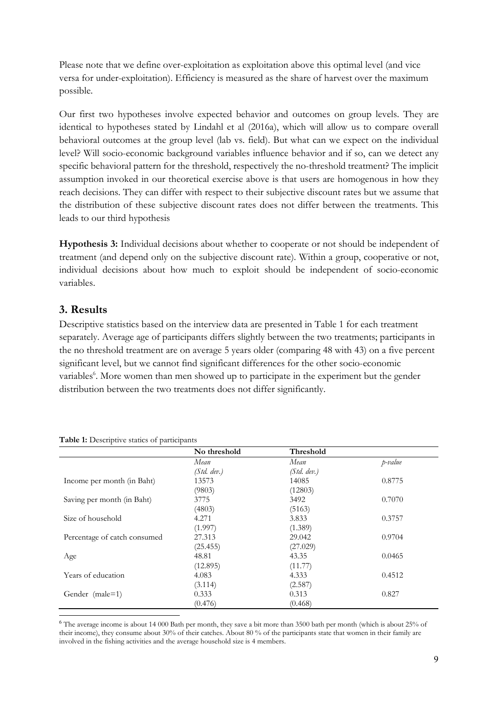Please note that we define over-exploitation as exploitation above this optimal level (and vice versa for under-exploitation). Efficiency is measured as the share of harvest over the maximum possible.

Our first two hypotheses involve expected behavior and outcomes on group levels. They are identical to hypotheses stated by Lindahl et al (2016a), which will allow us to compare overall behavioral outcomes at the group level (lab vs. field). But what can we expect on the individual level? Will socio-economic background variables influence behavior and if so, can we detect any specific behavioral pattern for the threshold, respectively the no-threshold treatment? The implicit assumption invoked in our theoretical exercise above is that users are homogenous in how they reach decisions. They can differ with respect to their subjective discount rates but we assume that the distribution of these subjective discount rates does not differ between the treatments. This leads to our third hypothesis

Hypothesis 3: Individual decisions about whether to cooperate or not should be independent of treatment (and depend only on the subjective discount rate). Within a group, cooperative or not, individual decisions about how much to exploit should be independent of socio-economic variables.

## 3. Results

Descriptive statistics based on the interview data are presented in Table 1 for each treatment separately. Average age of participants differs slightly between the two treatments; participants in the no threshold treatment are on average 5 years older (comparing 48 with 43) on a five percent significant level, but we cannot find significant differences for the other socio-economic variables<sup>6</sup>. More women than men showed up to participate in the experiment but the gender distribution between the two treatments does not differ significantly.

|                              | No threshold | Threshold   |         |
|------------------------------|--------------|-------------|---------|
|                              | Mean         | Mean        | p-value |
|                              | (Std, dev.)  | (Std. dev.) |         |
| Income per month (in Baht)   | 13573        | 14085       | 0.8775  |
|                              | (9803)       | (12803)     |         |
| Saving per month (in Baht)   | 3775         | 3492        | 0.7070  |
|                              | (4803)       | (5163)      |         |
| Size of household            | 4.271        | 3.833       | 0.3757  |
|                              | (1.997)      | (1.389)     |         |
| Percentage of catch consumed | 27.313       | 29.042      | 0.9704  |
|                              | (25.455)     | (27.029)    |         |
| Age                          | 48.81        | 43.35       | 0.0465  |
|                              | (12.895)     | (11.77)     |         |
| Years of education           | 4.083        | 4.333       | 0.4512  |
|                              | (3.114)      | (2.587)     |         |
| Gender (male=1)              | 0.333        | 0.313       | 0.827   |
|                              | (0.476)      | (0.468)     |         |

Table 1: Descriptive statics of participants

 6 The average income is about 14 000 Bath per month, they save a bit more than 3500 bath per month (which is about 25% of their income), they consume about 30% of their catches. About 80 % of the participants state that women in their family are involved in the fishing activities and the average household size is 4 members.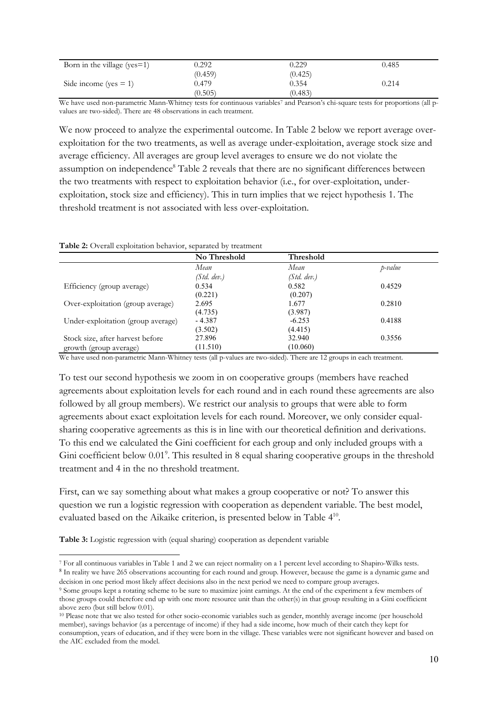| Born in the village ( $yes=1$ ) | 9.292   | <b>J.229</b> | 0.485 |
|---------------------------------|---------|--------------|-------|
|                                 | (0.459) | (0.425)      |       |
| Side income (yes $= 1$ )        | 0.479   | 0.354        | 0.214 |
|                                 | (0.505) | (0.483)      |       |

We have used non-parametric Mann-Whitney tests for continuous variables<sup>7</sup> and Pearson's chi-square tests for proportions (all pvalues are two-sided). There are 48 observations in each treatment.

We now proceed to analyze the experimental outcome. In Table 2 below we report average overexploitation for the two treatments, as well as average under-exploitation, average stock size and average efficiency. All averages are group level averages to ensure we do not violate the assumption on independence<sup>8</sup> Table 2 reveals that there are no significant differences between the two treatments with respect to exploitation behavior (i.e., for over-exploitation, underexploitation, stock size and efficiency). This in turn implies that we reject hypothesis 1. The threshold treatment is not associated with less over-exploitation.

Table 2: Overall exploitation behavior, separated by treatment

|                                    | No Threshold | <b>Threshold</b> |         |
|------------------------------------|--------------|------------------|---------|
|                                    | Mean         | Mean             | p-value |
|                                    | (Std, dev.)  | (Std, dev.)      |         |
| Efficiency (group average)         | 0.534        | 0.582            | 0.4529  |
|                                    | (0.221)      | (0.207)          |         |
| Over-exploitation (group average)  | 2.695        | 1.677            | 0.2810  |
|                                    | (4.735)      | (3.987)          |         |
| Under-exploitation (group average) | - 4.387      | $-6.253$         | 0.4188  |
|                                    | (3.502)      | (4.415)          |         |
| Stock size, after harvest before   | 27.896       | 32.940           | 0.3556  |
| growth (group average)             | (11.510)     | (10.060)         |         |

We have used non-parametric Mann-Whitney tests (all p-values are two-sided). There are 12 groups in each treatment.

To test our second hypothesis we zoom in on cooperative groups (members have reached agreements about exploitation levels for each round and in each round these agreements are also followed by all group members). We restrict our analysis to groups that were able to form agreements about exact exploitation levels for each round. Moreover, we only consider equalsharing cooperative agreements as this is in line with our theoretical definition and derivations. To this end we calculated the Gini coefficient for each group and only included groups with a Gini coefficient below 0.01<sup>9</sup>. This resulted in 8 equal sharing cooperative groups in the threshold treatment and 4 in the no threshold treatment.

First, can we say something about what makes a group cooperative or not? To answer this question we run a logistic regression with cooperation as dependent variable. The best model, evaluated based on the Aikaike criterion, is presented below in Table 410.

Table 3: Logistic regression with (equal sharing) cooperation as dependent variable

 $\ddot{\phantom{a}}$ <sup>7</sup> For all continuous variables in Table 1 and 2 we can reject normality on a 1 percent level according to Shapiro-Wilks tests.<br><sup>8</sup> In reality we have 265 observations accounting for each round and group. However, because decision in one period most likely affect decisions also in the next period we need to compare group averages.

<sup>9</sup> Some groups kept a rotating scheme to be sure to maximize joint earnings. At the end of the experiment a few members of those groups could therefore end up with one more resource unit than the other(s) in that group resulting in a Gini coefficient above zero (but still below 0.01).

<sup>&</sup>lt;sup>10</sup> Please note that we also tested for other socio-economic variables such as gender, monthly average income (per household member), savings behavior (as a percentage of income) if they had a side income, how much of their catch they kept for consumption, years of education, and if they were born in the village. These variables were not significant however and based on the AIC excluded from the model.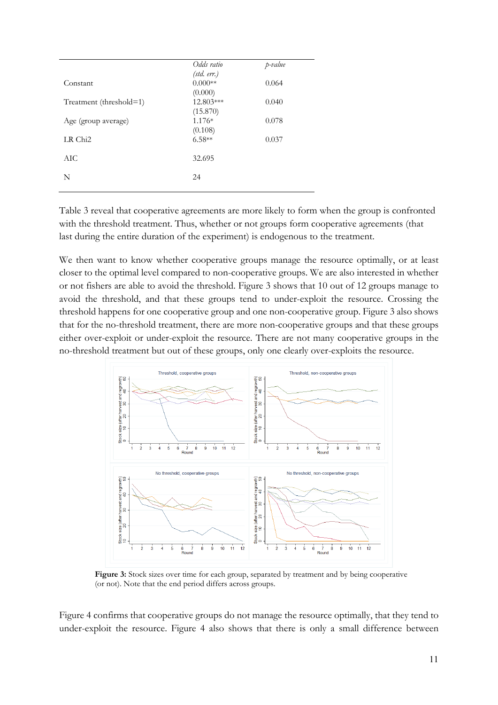|                         | Odds ratio           | p-value |
|-------------------------|----------------------|---------|
|                         | (std. err.)          |         |
| Constant                | $0.000**$            | 0.064   |
|                         | (0.000)              |         |
| Treatment (threshold=1) | 12.803***            | 0.040   |
| Age (group average)     | (15.870)<br>$1.176*$ | 0.078   |
|                         | (0.108)              |         |
| LR Chi <sub>2</sub>     | $6.58**$             | 0.037   |
|                         |                      |         |
| AIC.                    | 32.695               |         |
|                         |                      |         |
| N                       | 24                   |         |
|                         |                      |         |

Table 3 reveal that cooperative agreements are more likely to form when the group is confronted with the threshold treatment. Thus, whether or not groups form cooperative agreements (that last during the entire duration of the experiment) is endogenous to the treatment.

We then want to know whether cooperative groups manage the resource optimally, or at least closer to the optimal level compared to non-cooperative groups. We are also interested in whether or not fishers are able to avoid the threshold. Figure 3 shows that 10 out of 12 groups manage to avoid the threshold, and that these groups tend to under-exploit the resource. Crossing the threshold happens for one cooperative group and one non-cooperative group. Figure 3 also shows that for the no-threshold treatment, there are more non-cooperative groups and that these groups either over-exploit or under-exploit the resource. There are not many cooperative groups in the no-threshold treatment but out of these groups, only one clearly over-exploits the resource.



Figure 3: Stock sizes over time for each group, separated by treatment and by being cooperative (or not). Note that the end period differs across groups.

Figure 4 confirms that cooperative groups do not manage the resource optimally, that they tend to under-exploit the resource. Figure 4 also shows that there is only a small difference between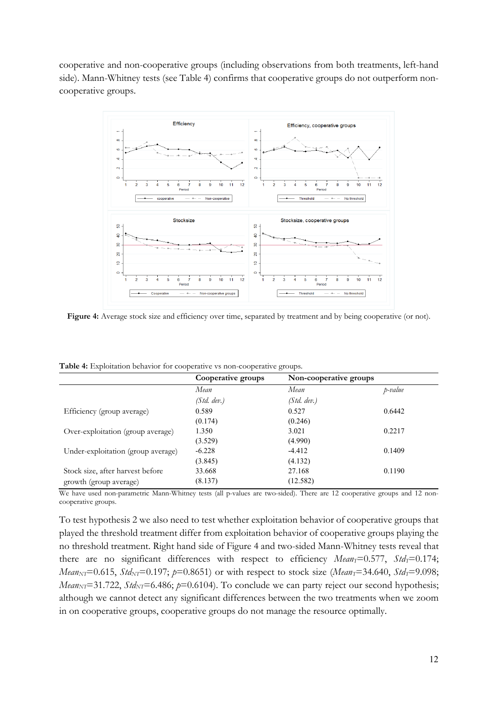cooperative and non-cooperative groups (including observations from both treatments, left-hand side). Mann-Whitney tests (see Table 4) confirms that cooperative groups do not outperform noncooperative groups.



Figure 4: Average stock size and efficiency over time, separated by treatment and by being cooperative (or not).

Table 4: Exploitation behavior for cooperative vs non-cooperative groups.

|                                    | Cooperative groups | Non-cooperative groups |         |
|------------------------------------|--------------------|------------------------|---------|
|                                    | Mean               | Mean                   | p-value |
|                                    | (Std, dev.)        | (Std, dev.)            |         |
| Efficiency (group average)         | 0.589              | 0.527                  | 0.6442  |
|                                    | (0.174)            | (0.246)                |         |
| Over-exploitation (group average)  | 1.350              | 3.021                  | 0.2217  |
|                                    | (3.529)            | (4.990)                |         |
| Under-exploitation (group average) | $-6.228$           | $-4.412$               | 0.1409  |
|                                    | (3.845)            | (4.132)                |         |
| Stock size, after harvest before   | 33.668             | 27.168                 | 0.1190  |
| growth (group average)             | (8.137)            | (12.582)               |         |

We have used non-parametric Mann-Whitney tests (all p-values are two-sided). There are 12 cooperative groups and 12 noncooperative groups.

To test hypothesis 2 we also need to test whether exploitation behavior of cooperative groups that played the threshold treatment differ from exploitation behavior of cooperative groups playing the no threshold treatment. Right hand side of Figure 4 and two-sided Mann-Whitney tests reveal that there are no significant differences with respect to efficiency  $Mean_T = 0.577$ ,  $Std_T = 0.174$ ; *Mean<sub>NT</sub>*=0.615, *Std<sub>NT</sub>*=0.197; *p*=0.8651) or with respect to stock size (*Mean<sub>T</sub>*=34.640, *Std<sub>T</sub>*=9.098; *Mean<sub>NT</sub>*=31.722, *Std<sub>NT</sub>*=6.486;  $p=0.6104$ . To conclude we can party reject our second hypothesis; although we cannot detect any significant differences between the two treatments when we zoom in on cooperative groups, cooperative groups do not manage the resource optimally.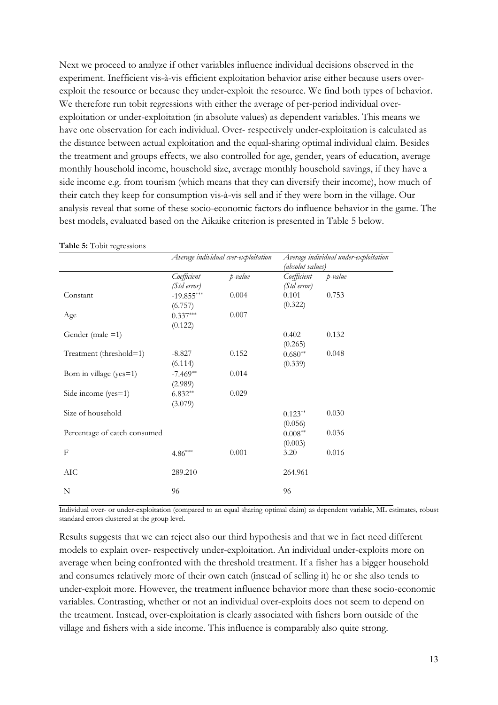Next we proceed to analyze if other variables influence individual decisions observed in the experiment. Inefficient vis-à-vis efficient exploitation behavior arise either because users overexploit the resource or because they under-exploit the resource. We find both types of behavior. We therefore run tobit regressions with either the average of per-period individual overexploitation or under-exploitation (in absolute values) as dependent variables. This means we have one observation for each individual. Over- respectively under-exploitation is calculated as the distance between actual exploitation and the equal-sharing optimal individual claim. Besides the treatment and groups effects, we also controlled for age, gender, years of education, average monthly household income, household size, average monthly household savings, if they have a side income e.g. from tourism (which means that they can diversify their income), how much of their catch they keep for consumption vis-à-vis sell and if they were born in the village. Our analysis reveal that some of these socio-economic factors do influence behavior in the game. The best models, evaluated based on the Aikaike criterion is presented in Table 5 below.

|                              | Average individual cver-exploitation |         | (absolut values)              | Average individual under-exploitation |
|------------------------------|--------------------------------------|---------|-------------------------------|---------------------------------------|
|                              | Coefficient<br>(Std error)           | p-value | Coefficient<br>(Std error)    | p-value                               |
| Constant                     | $-19.855***$                         | 0.004   | 0.101                         | 0.753                                 |
| Age                          | (6.757)<br>$0.337***$<br>(0.122)     | 0.007   | (0.322)                       |                                       |
| Gender (male $=1$ )          |                                      |         | 0.402<br>(0.265)              | 0.132                                 |
| Treatment (threshold=1)      | $-8.827$<br>(6.114)                  | 0.152   | $0.680**$<br>(0.339)          | 0.048                                 |
| Born in village (yes=1)      | $-7.469**$<br>(2.989)                | 0.014   |                               |                                       |
| Side income (yes=1)          | $6.832**$<br>(3.079)                 | 0.029   |                               |                                       |
| Size of household            |                                      |         | $0.123**$<br>(0.056)          | 0.030                                 |
| Percentage of catch consumed |                                      |         | $0.008^{\ast\ast}$<br>(0.003) | 0.036                                 |
| F                            | $4.86***$                            | 0.001   | 3.20                          | 0.016                                 |
| AIC                          | 289.210                              |         | 264.961                       |                                       |
| N                            | 96                                   |         | 96                            |                                       |

Table 5: Tobit regressions

Individual over- or under-exploitation (compared to an equal sharing optimal claim) as dependent variable, ML estimates, robust standard errors clustered at the group level.

Results suggests that we can reject also our third hypothesis and that we in fact need different models to explain over- respectively under-exploitation. An individual under-exploits more on average when being confronted with the threshold treatment. If a fisher has a bigger household and consumes relatively more of their own catch (instead of selling it) he or she also tends to under-exploit more. However, the treatment influence behavior more than these socio-economic variables. Contrasting, whether or not an individual over-exploits does not seem to depend on the treatment. Instead, over-exploitation is clearly associated with fishers born outside of the village and fishers with a side income. This influence is comparably also quite strong.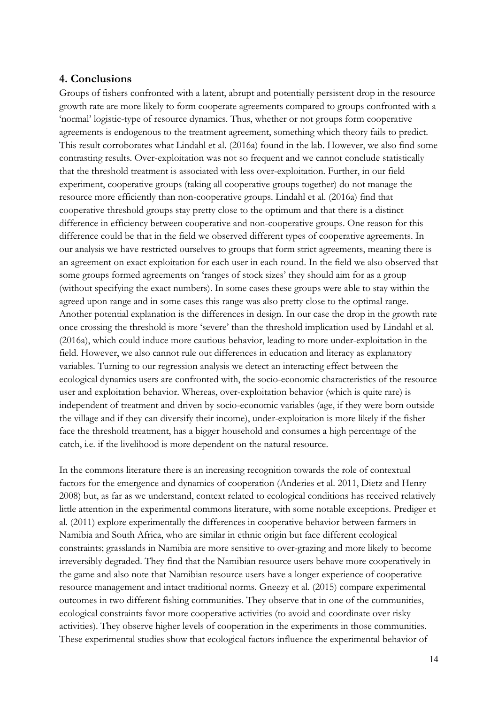#### 4. Conclusions

Groups of fishers confronted with a latent, abrupt and potentially persistent drop in the resource growth rate are more likely to form cooperate agreements compared to groups confronted with a 'normal' logistic-type of resource dynamics. Thus, whether or not groups form cooperative agreements is endogenous to the treatment agreement, something which theory fails to predict. This result corroborates what Lindahl et al. (2016a) found in the lab. However, we also find some contrasting results. Over-exploitation was not so frequent and we cannot conclude statistically that the threshold treatment is associated with less over-exploitation. Further, in our field experiment, cooperative groups (taking all cooperative groups together) do not manage the resource more efficiently than non-cooperative groups. Lindahl et al. (2016a) find that cooperative threshold groups stay pretty close to the optimum and that there is a distinct difference in efficiency between cooperative and non-cooperative groups. One reason for this difference could be that in the field we observed different types of cooperative agreements. In our analysis we have restricted ourselves to groups that form strict agreements, meaning there is an agreement on exact exploitation for each user in each round. In the field we also observed that some groups formed agreements on 'ranges of stock sizes' they should aim for as a group (without specifying the exact numbers). In some cases these groups were able to stay within the agreed upon range and in some cases this range was also pretty close to the optimal range. Another potential explanation is the differences in design. In our case the drop in the growth rate once crossing the threshold is more 'severe' than the threshold implication used by Lindahl et al. (2016a), which could induce more cautious behavior, leading to more under-exploitation in the field. However, we also cannot rule out differences in education and literacy as explanatory variables. Turning to our regression analysis we detect an interacting effect between the ecological dynamics users are confronted with, the socio-economic characteristics of the resource user and exploitation behavior. Whereas, over-exploitation behavior (which is quite rare) is independent of treatment and driven by socio-economic variables (age, if they were born outside the village and if they can diversify their income), under-exploitation is more likely if the fisher face the threshold treatment, has a bigger household and consumes a high percentage of the catch, i.e. if the livelihood is more dependent on the natural resource.

In the commons literature there is an increasing recognition towards the role of contextual factors for the emergence and dynamics of cooperation (Anderies et al. 2011, Dietz and Henry 2008) but, as far as we understand, context related to ecological conditions has received relatively little attention in the experimental commons literature, with some notable exceptions. Prediger et al. (2011) explore experimentally the differences in cooperative behavior between farmers in Namibia and South Africa, who are similar in ethnic origin but face different ecological constraints; grasslands in Namibia are more sensitive to over-grazing and more likely to become irreversibly degraded. They find that the Namibian resource users behave more cooperatively in the game and also note that Namibian resource users have a longer experience of cooperative resource management and intact traditional norms. Gneezy et al. (2015) compare experimental outcomes in two different fishing communities. They observe that in one of the communities, ecological constraints favor more cooperative activities (to avoid and coordinate over risky activities). They observe higher levels of cooperation in the experiments in those communities. These experimental studies show that ecological factors influence the experimental behavior of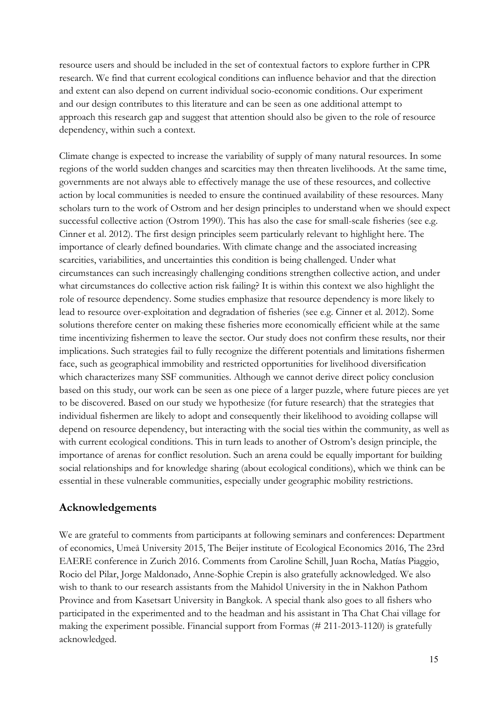resource users and should be included in the set of contextual factors to explore further in CPR research. We find that current ecological conditions can influence behavior and that the direction and extent can also depend on current individual socio-economic conditions. Our experiment and our design contributes to this literature and can be seen as one additional attempt to approach this research gap and suggest that attention should also be given to the role of resource dependency, within such a context.

Climate change is expected to increase the variability of supply of many natural resources. In some regions of the world sudden changes and scarcities may then threaten livelihoods. At the same time, governments are not always able to effectively manage the use of these resources, and collective action by local communities is needed to ensure the continued availability of these resources. Many scholars turn to the work of Ostrom and her design principles to understand when we should expect successful collective action (Ostrom 1990). This has also the case for small-scale fisheries (see e.g. Cinner et al. 2012). The first design principles seem particularly relevant to highlight here. The importance of clearly defined boundaries. With climate change and the associated increasing scarcities, variabilities, and uncertainties this condition is being challenged. Under what circumstances can such increasingly challenging conditions strengthen collective action, and under what circumstances do collective action risk failing? It is within this context we also highlight the role of resource dependency. Some studies emphasize that resource dependency is more likely to lead to resource over-exploitation and degradation of fisheries (see e.g. Cinner et al. 2012). Some solutions therefore center on making these fisheries more economically efficient while at the same time incentivizing fishermen to leave the sector. Our study does not confirm these results, nor their implications. Such strategies fail to fully recognize the different potentials and limitations fishermen face, such as geographical immobility and restricted opportunities for livelihood diversification which characterizes many SSF communities. Although we cannot derive direct policy conclusion based on this study, our work can be seen as one piece of a larger puzzle, where future pieces are yet to be discovered. Based on our study we hypothesize (for future research) that the strategies that individual fishermen are likely to adopt and consequently their likelihood to avoiding collapse will depend on resource dependency, but interacting with the social ties within the community, as well as with current ecological conditions. This in turn leads to another of Ostrom's design principle, the importance of arenas for conflict resolution. Such an arena could be equally important for building social relationships and for knowledge sharing (about ecological conditions), which we think can be essential in these vulnerable communities, especially under geographic mobility restrictions.

## Acknowledgements

We are grateful to comments from participants at following seminars and conferences: Department of economics, Umeå University 2015, The Beijer institute of Ecological Economics 2016, The 23rd EAERE conference in Zurich 2016. Comments from Caroline Schill, Juan Rocha, Matías Piaggio, Rocio del Pilar, Jorge Maldonado, Anne-Sophie Crepin is also gratefully acknowledged. We also wish to thank to our research assistants from the Mahidol University in the in Nakhon Pathom Province and from Kasetsart University in Bangkok. A special thank also goes to all fishers who participated in the experimented and to the headman and his assistant in Tha Chat Chai village for making the experiment possible. Financial support from Formas (# 211-2013-1120) is gratefully acknowledged.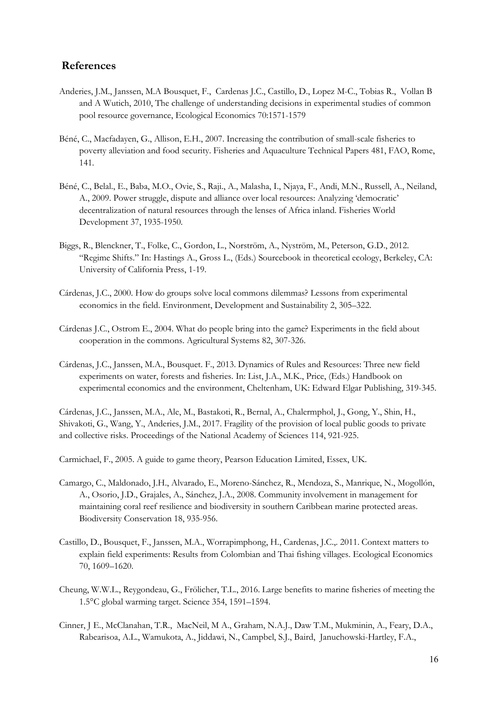#### References

- Anderies, J.M., Janssen, M.A Bousquet, F., [Cardenas J.C](http://www.sciencedirect.com/science/article/pii/S0921800911000188)., [Castillo, D](http://www.sciencedirect.com/science/article/pii/S0921800911000188)., Lopez M-C., [Tobias R., Vollan B](http://www.sciencedirect.com/science/article/pii/S0921800911000188)  and [A Wutich, 2](http://www.sciencedirect.com/science/article/pii/S0921800911000188)010, The challenge of understanding decisions in experimental studies of common pool resource governance, Ecological Economics 70:1571-1579
- Béné, C., Macfadayen, G., Allison, E.H., 2007. Increasing the contribution of small-scale fisheries to poverty alleviation and food security. Fisheries and Aquaculture Technical Papers 481, FAO, Rome, 141.
- [Béné,](http://www.sciencedirect.com/science/article/pii/S0305750X09000941) C., [Belal., E., Baba, M](http://www.sciencedirect.com/science/article/pii/S0305750X09000941).O., [Ovie, S](http://www.sciencedirect.com/science/article/pii/S0305750X09000941)., [Raji.,](http://www.sciencedirect.com/science/article/pii/S0305750X09000941) [A., Malasha, I., Njaya,](http://www.sciencedirect.com/science/article/pii/S0305750X09000941) F., [Andi,](http://www.sciencedirect.com/science/article/pii/S0305750X09000941) M.N., [Russell,](http://www.sciencedirect.com/science/article/pii/S0305750X09000941) A., [Neiland,](http://www.sciencedirect.com/science/article/pii/S0305750X09000941)  A., 2009. Power struggle, dispute and alliance over local resources: Analyzing 'democratic' decentralization of natural resources through the lenses of Africa inland. Fisheries [World](http://www.sciencedirect.com/science/journal/0305750X)  [Development](http://www.sciencedirect.com/science/journal/0305750X) [37, 1](http://www.sciencedirect.com/science/journal/0305750X/37/12)935-1950.
- Biggs, R., Blenckner, T., Folke, C., Gordon, L., Norström, A., Nyström, M., Peterson, G.D., 2012. "Regime Shifts." In: Hastings A., Gross L., (Eds.) Sourcebook in theoretical ecology, Berkeley, CA: University of California Press, 1-19.
- Cárdenas, J.C., 2000. How do groups solve local commons dilemmas? Lessons from experimental economics in the field. Environment, Development and Sustainability 2, 305–322.
- Cárdenas J.C., Ostrom E., 2004. What do people bring into the game? Experiments in the field about cooperation in the commons. Agricultural Systems 82, 307-326.
- Cárdenas, J.C., Janssen, M.A., Bousquet. F., 2013. Dynamics of Rules and Resources: Three new field experiments on water, forests and fisheries. In: List, J.A., M.K., Price, (Eds.) Handbook on experimental economics and the environment, Cheltenham, UK: Edward Elgar Publishing, 319-345.

Cárdenas, J.C., Janssen, M.A., Ale, M., Bastakoti, R., Bernal, A., Chalermphol, J., Gong, Y., Shin, H., Shivakoti, G., Wang, Y., Anderies, J.M., 2017. Fragility of the provision of local public goods to private and collective risks. Proceedings of the National Academy of Sciences 114, 921-925.

Carmichael, F., 2005. A guide to game theory, Pearson Education Limited, Essex, UK.

- Camargo, C., Maldonado, J.H., Alvarado, E., Moreno-Sánchez, R., Mendoza, S., Manrique, N., Mogollón, A., Osorio, J.D., Grajales, A., Sánchez, J.A., 2008. Community involvement in management for maintaining coral reef resilience and biodiversity in southern Caribbean marine protected areas. Biodiversity Conservation 18, 935-956.
- Castillo, D., Bousquet, F., Janssen, M.A., Worrapimphong, H., Cardenas, J.C.,. 2011. Context matters to explain field experiments: Results from Colombian and Thai fishing villages. Ecological Economics 70, 1609–1620.
- Cheung, W.W.L., Reygondeau, G., Frölicher, T.L., 2016. Large benefits to marine fisheries of meeting the 1.5°C global warming target. Science 354, 1591–1594.
- [Cinner, J](http://www.pnas.org/search?author1=Joshua+E.+Cinner&sortspec=date&submit=Submit) E., [McClanahan, T.](http://www.pnas.org/search?author1=Tim+R.+McClanahan&sortspec=date&submit=Submit)R., [MacNeil, M](http://www.pnas.org/search?author1=M.+Aaron+MacNeil&sortspec=date&submit=Submit) A., [Graham, N](http://www.pnas.org/search?author1=Nicholas+A.+J.+Graham&sortspec=date&submit=Submit).A.J., [Daw](http://www.pnas.org/search?author1=Tim+M.+Daw&sortspec=date&submit=Submit) T.M., [Mukminin, A](http://www.pnas.org/search?author1=Ahmad+Mukminin&sortspec=date&submit=Submit)., [Feary,](http://www.pnas.org/search?author1=David+A.+Feary&sortspec=date&submit=Submit) D.A., [Rabearisoa, A](http://www.pnas.org/search?author1=Ando+L.+Rabearisoa&sortspec=date&submit=Submit).L., [Wamukota, A](http://www.pnas.org/search?author1=Andrew+Wamukota&sortspec=date&submit=Submit)., [Jiddawi, N](http://www.pnas.org/search?author1=Narriman+Jiddawi&sortspec=date&submit=Submit)., [Campbel, S](http://www.pnas.org/search?author1=Stuart+J.+Campbell&sortspec=date&submit=Submit).J., [Baird,](http://www.pnas.org/search?author1=Andrew+H.+Baird&sortspec=date&submit=Submit) [Januchowski-Hartley, F.A.](http://www.pnas.org/search?author1=Fraser+A.+Januchowski-Hartley&sortspec=date&submit=Submit),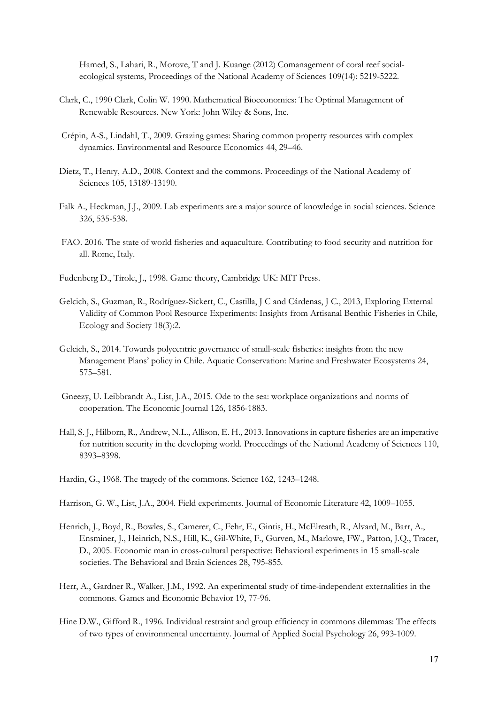[Hamed, S](http://www.pnas.org/search?author1=Salum+Hamed&sortspec=date&submit=Submit)., [Lahari, R](http://www.pnas.org/search?author1=Rachael+Lahari&sortspec=date&submit=Submit)., [Morove, T](http://www.pnas.org/search?author1=Tau+Morove&sortspec=date&submit=Submit) and J. Kuange (2012) Comanagement of coral reef socialecological systems, Proceedings of the National Academy of Sciences 109(14): 5219-5222.

- Clark, C., 1990 Clark, Colin W. 1990. Mathematical Bioeconomics: The Optimal Management of Renewable Resources. New York: John Wiley & Sons, Inc.
- Crépin, A-S., Lindahl, T., 2009. Grazing games: Sharing common property resources with complex dynamics. Environmental and Resource Economics 44, 29–46.
- Dietz, T., Henry, A.D., 2008. Context and the commons. Proceedings of the National Academy of Sciences 105, 13189-13190.
- Falk A., Heckman, J.J., 2009. Lab experiments are a major source of knowledge in social sciences. Science 326, 535-538.
- FAO. 2016. The state of world fisheries and aquaculture. Contributing to food security and nutrition for all. Rome, Italy.
- Fudenberg D., Tirole, J., 1998. Game theory, Cambridge UK: MIT Press.
- Gelcich, S., Guzman, R., Rodríguez-Sickert, C., Castilla, J C and Cárdenas, J C., 2013, Exploring External Validity of Common Pool Resource Experiments: Insights from Artisanal Benthic Fisheries in Chile, Ecology and Society 18(3):2.
- Gelcich, S., 2014. Towards polycentric governance of small-scale fisheries: insights from the new Management Plans' policy in Chile. Aquatic Conservation: Marine and Freshwater Ecosystems 24, 575–581.
- Gneezy, U. Leibbrandt A., List, J.A., 2015. Ode to the sea: workplace organizations and norms of cooperation. The Economic Journal 126, 1856-1883.
- Hall, S. J., Hilborn, R., Andrew, N.L., Allison, E. H., 2013. Innovations in capture fisheries are an imperative for nutrition security in the developing world. Proceedings of the National Academy of Sciences 110, 8393–8398.
- Hardin, G., 1968. The tragedy of the commons. Science 162, 1243–1248.

Harrison, G. W., List, J.A., 2004. Field experiments. Journal of Economic Literature 42, 1009–1055.

- Henrich, J., Boyd, R., Bowles, S., Camerer, C., Fehr, E., Gintis, H., McElreath, R., Alvard, M., Barr, A., Ensminer, J., Heinrich, N.S., Hill, K., Gil-White, F., Gurven, M., Marlowe, FW., Patton, J.Q., Tracer, D., 2005. Economic man in cross-cultural perspective: Behavioral experiments in 15 small-scale societies. The Behavioral and Brain Sciences 28, 795-855.
- Herr, A., Gardner R., Walker, J.M., 1992. An experimental study of time-independent externalities in the commons. Games and Economic Behavior 19, 77-96.
- Hine D.W., Gifford R., 1996. Individual restraint and group efficiency in commons dilemmas: The effects of two types of environmental uncertainty. Journal of Applied Social Psychology 26, 993-1009.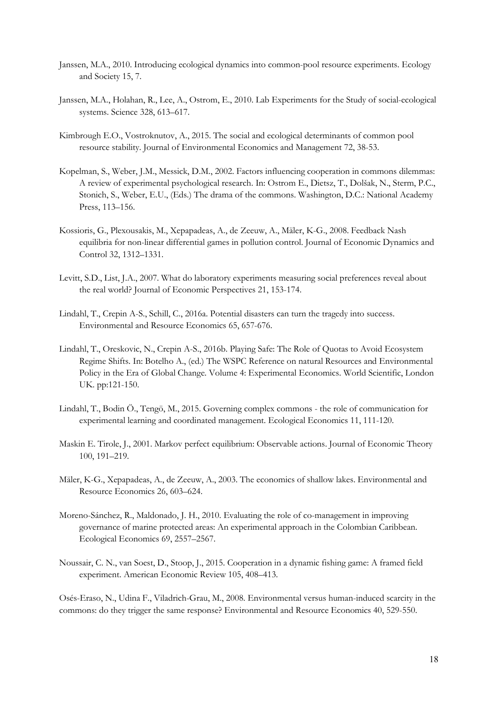- Janssen, M.A., 2010. Introducing ecological dynamics into common-pool resource experiments. Ecology and Society 15, 7.
- Janssen, M.A., Holahan, R., Lee, A., Ostrom, E., 2010. Lab Experiments for the Study of social-ecological systems. Science 328, 613–617.
- Kimbrough E.O., Vostroknutov, A., 2015. The social and ecological determinants of common pool resource stability. Journal of Environmental Economics and Management 72, 38-53.
- Kopelman, S., Weber, J.M., Messick, D.M., 2002. Factors influencing cooperation in commons dilemmas: A review of experimental psychological research. In: Ostrom E., Dietsz, T., Dolšak, N., Sterm, P.C., Stonich, S., Weber, E.U., (Eds.) The drama of the commons. Washington, D.C.: National Academy Press, 113–156.
- Kossioris, G., Plexousakis, M., Xepapadeas, A., de Zeeuw, A., Mäler, K-G., 2008. Feedback Nash equilibria for non-linear differential games in pollution control. Journal of Economic Dynamics and Control 32, 1312–1331.
- Levitt, S.D., List, J.A., 2007. What do laboratory experiments measuring social preferences reveal about the real world? Journal of Economic Perspectives 21, 153-174.
- Lindahl, T., Crepin A-S., Schill, C., 2016a. Potential disasters can turn the tragedy into success. Environmental and Resource Economics 65, 657-676.
- Lindahl, T., Oreskovic, N., Crepin A-S., 2016b. Playing Safe: The Role of Quotas to Avoid Ecosystem Regime Shifts. In: Botelho A., (ed.) The WSPC Reference on natural Resources and Environmental Policy in the Era of Global Change. Volume 4: Experimental Economics. World Scientific, London UK. pp:121-150.
- Lindahl, T., Bodin Ö., Tengö, M., 2015. Governing complex commons the role of communication for experimental learning and coordinated management. Ecological Economics 11, 111-120.
- Maskin E. Tirole, J., 2001. Markov perfect equilibrium: Observable actions. Journal of Economic Theory 100, 191–219.
- Mäler, K-G., Xepapadeas, A., de Zeeuw, A., 2003. The economics of shallow lakes. Environmental and Resource Economics 26, 603–624.
- Moreno-Sánchez, R., Maldonado, J. H., 2010. Evaluating the role of co-management in improving governance of marine protected areas: An experimental approach in the Colombian Caribbean. Ecological Economics 69, 2557–2567.
- Noussair, C. N., van Soest, D., Stoop, J., 2015. Cooperation in a dynamic fishing game: A framed field experiment. American Economic Review 105, 408–413.

Osés-Eraso, N., Udina F., Viladrich-Grau, M., 2008. Environmental versus human-induced scarcity in the commons: do they trigger the same response? Environmental and Resource Economics 40, 529-550.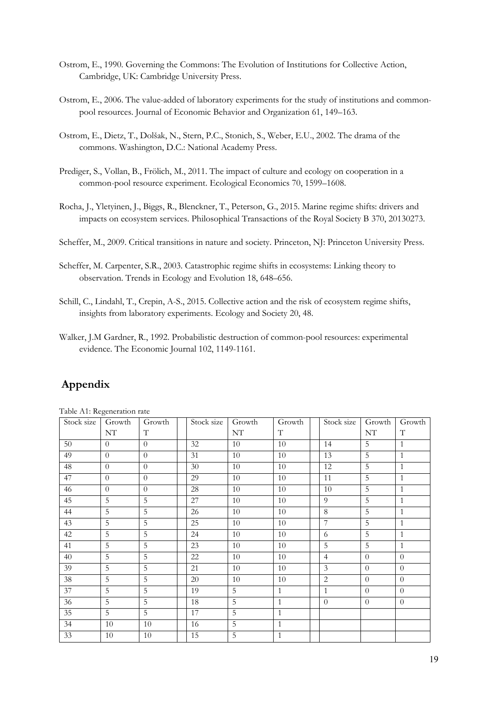- Ostrom, E., 1990. Governing the Commons: The Evolution of Institutions for Collective Action, Cambridge, UK: Cambridge University Press.
- Ostrom, E., 2006. The value-added of laboratory experiments for the study of institutions and commonpool resources. Journal of Economic Behavior and Organization 61, 149–163.
- Ostrom, E., Dietz, T., Dolšak, N., Stern, P.C., Stonich, S., Weber, E.U., 2002. The drama of the commons. Washington, D.C.: National Academy Press.
- Prediger, S., Vollan, B., Frölich, M., 2011. The impact of culture and ecology on cooperation in a common-pool resource experiment. Ecological Economics 70, 1599–1608.
- Rocha, J., Yletyinen, J., Biggs, R., Blenckner, T., Peterson, G., 2015. Marine regime shifts: drivers and impacts on ecosystem services. Philosophical Transactions of the Royal Society B 370, 20130273.
- Scheffer, M., 2009. Critical transitions in nature and society. Princeton, NJ: Princeton University Press.
- Scheffer, M. Carpenter, S.R., 2003. Catastrophic regime shifts in ecosystems: Linking theory to observation. Trends in Ecology and Evolution 18, 648–656.
- Schill, C., Lindahl, T., Crepin, A-S., 2015. Collective action and the risk of ecosystem regime shifts, insights from laboratory experiments. Ecology and Society 20, 48.
- Walker, J.M Gardner, R., 1992. Probabilistic destruction of common-pool resources: experimental evidence. The Economic Journal 102, 1149-1161.

## Appendix

Table A1: Regeneration rate

| Stock size | Growth         | Growth         | Stock size | Growth | Growth       | Stock size     | Growth         | Growth       |
|------------|----------------|----------------|------------|--------|--------------|----------------|----------------|--------------|
|            | NT             | $\mathbf T$    |            | NT     | T            |                | NT             | $\mathbf T$  |
| 50         | $\theta$       | $\Omega$       | 32         | 10     | 10           | 14             | 5              | $\mathbf{1}$ |
| 49         | $\theta$       | $\Omega$       | 31         | 10     | 10           | 13             | $\overline{5}$ | $\mathbf{1}$ |
| 48         | $\theta$       | $\Omega$       | 30         | 10     | 10           | 12             | 5              | $\mathbf{1}$ |
| 47         | $\theta$       | $\Omega$       | 29         | 10     | 10           | 11             | $\overline{5}$ | $\mathbf{1}$ |
| 46         | $\theta$       | $\Omega$       | 28         | 10     | 10           | 10             | $\overline{5}$ | $\mathbf{1}$ |
| 45         | 5              | $\overline{5}$ | 27         | 10     | 10           | 9              | 5              | $\mathbf{1}$ |
| 44         | 5              | 5              | 26         | 10     | 10           | 8              | 5              | $\mathbf{1}$ |
| 43         | 5              | 5              | 25         | 10     | 10           | $\overline{7}$ | 5              | $\mathbf{1}$ |
| 42         | 5              | $\overline{5}$ | 24         | 10     | 10           | 6              | 5              | $\mathbf{1}$ |
| 41         | 5              | 5              | 23         | 10     | 10           | 5              | 5              | $\mathbf{1}$ |
| 40         | $\overline{5}$ | $\overline{5}$ | 22         | 10     | 10           | $\overline{4}$ | $\overline{0}$ | $\theta$     |
| 39         | $\overline{5}$ | 5              | 21         | 10     | 10           | 3              | $\theta$       | $\theta$     |
| 38         | 5              | 5              | 20         | 10     | 10           | 2              | $\overline{0}$ | $\theta$     |
| 37         | 5              | 5              | 19         | 5      | $\mathbf{1}$ | $\mathbf{1}$   | $\theta$       | $\theta$     |
| 36         | $\overline{5}$ | 5              | 18         | 5      | $\mathbf{1}$ | $\theta$       | $\theta$       | $\theta$     |
| 35         | 5              | 5              | 17         | 5      | $\mathbf{1}$ |                |                |              |
| 34         | 10             | 10             | 16         | 5      | $\mathbf{1}$ |                |                |              |
| 33         | 10             | $10\,$         | 15         | 5      | $\mathbf{1}$ |                |                |              |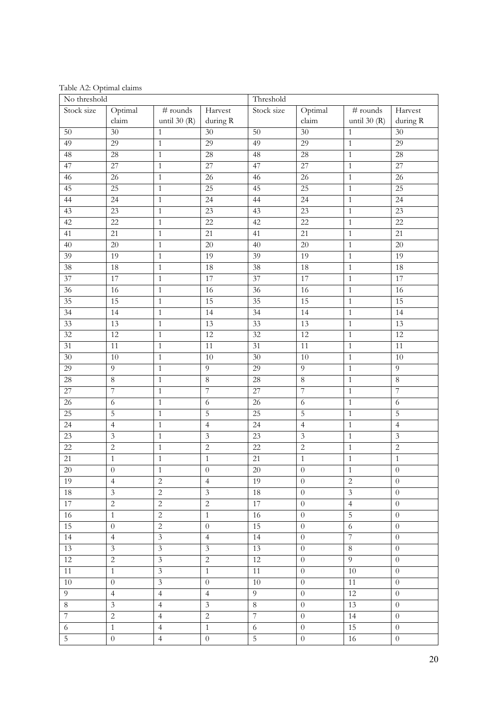Table A2: Optimal claims

| No threshold    |                             |                              | Threshold                   |                 |                  |                             |                     |
|-----------------|-----------------------------|------------------------------|-----------------------------|-----------------|------------------|-----------------------------|---------------------|
| Stock size      | Optimal<br>claim            | $\#$ rounds<br>until $30(R)$ | Harvest<br>during ${\bf R}$ | Stock size      | Optimal<br>claim | $#$ rounds<br>until $30(R)$ | Harvest<br>during R |
| 50              | 30                          | $\mathbf{1}$                 | 30                          | 50              | 30               | $\mathbf{1}$                | 30                  |
| 49              | 29                          | $\overline{1}$               | 29                          | 49              | 29               | $\mathbf{1}$                | 29                  |
| 48              | 28                          | $\,1\,$                      | $\overline{28}$             | 48              | 28               | $\,1\,$                     | 28                  |
| 47              | $\overline{27}$             | $\,1\,$                      | $\overline{27}$             | 47              | $\overline{27}$  | $\mathbf{1}$                | 27                  |
| 46              | 26                          | $\,1\,$                      | 26                          | 46              | $\overline{26}$  | $1\,$                       | 26                  |
| 45              | $\overline{25}$             | $\mathbf{1}$                 | 25                          | 45              | 25               | $\mathbf{1}$                | 25                  |
| 44              | 24                          | $\mathbf{1}$                 | 24                          | 44              | $\overline{24}$  | $\mathbf 1$                 | 24                  |
| 43              | 23                          | $\,1\,$                      | 23                          | 43              | 23               | $\mathbf{1}$                | 23                  |
| 42              | $\overline{22}$             | $\mathbf{1}$                 | $\overline{22}$             | 42              | $\overline{22}$  | $\mathbf{1}$                | $\overline{22}$     |
| 41              | $\overline{21}$             | $\,1\,$                      | 21                          | 41              | 21               | $\mathbf{1}$                | 21                  |
| 40              | $\overline{20}$             | $\overline{1}$               | $\overline{20}$             | $\overline{40}$ | $\overline{20}$  | $\mathbf 1$                 | $\overline{20}$     |
| 39              | 19                          | $\overline{1}$               | 19                          | 39              | 19               | $\overline{1}$              | 19                  |
| 38              | 18                          | $\,1$                        | 18                          | $\overline{38}$ | 18               | $1\,$                       | 18                  |
| $\overline{37}$ | 17                          | $\,1\,$                      | 17                          | $\overline{37}$ | 17               | $\mathbf 1$                 | 17                  |
| $\overline{36}$ | 16                          | $\,1\,$                      | 16                          | $\overline{36}$ | 16               | $\mathbf 1$                 | 16                  |
| 35              | 15                          | $\,1\,$                      | 15                          | $\overline{35}$ | 15               | $\mathbf 1$                 | 15                  |
| $\overline{34}$ | 14                          | $\mathbf{1}$                 | 14                          | 34              | 14               | $\mathbf{1}$                | 14                  |
| 33              | 13                          | $\,1\,$                      | 13                          | $\overline{33}$ | 13               | $\mathbf{1}$                | $\overline{13}$     |
| $\overline{32}$ | $\overline{12}$             | $\,1\,$                      | $\overline{12}$             | $\overline{32}$ | 12               | $\mathbf 1$                 | $\overline{12}$     |
| $\overline{31}$ | 11                          | $\,1\,$                      | 11                          | 31              | 11               | $1\,$                       | 11                  |
| 30              | $10\,$                      | $\mathbf{1}$                 | 10                          | 30              | 10               | $\mathbf{1}$                | 10                  |
| 29              | $\overline{9}$              | $\,1\,$                      | $\overline{9}$              | 29              | $\overline{9}$   | $\mathbf{1}$                | 9                   |
| 28              | $\overline{8}$              | $\mathbf{1}$                 | $\overline{8}$              | 28              | $\,8\,$          | $\mathbf{1}$                | $\overline{8}$      |
| $\overline{27}$ | $\overline{\phantom{a}}$    | $\,1$                        | $\sqrt{ }$                  | $27\,$          | 7                | $\mathbf 1$                 | $\overline{7}$      |
| $\overline{26}$ | $\sqrt{6}$                  | $\mathbf{1}$                 | $\sqrt{6}$                  | 26              | $\overline{6}$   | $\mathbf{1}$                | 6                   |
| 25              | 5                           | $\overline{1}$               | 5                           | $\overline{25}$ | $\overline{5}$   | $1\,$                       | $\overline{5}$      |
| $\overline{24}$ | $\overline{4}$              | $\,1\,$                      | $\overline{4}$              | 24              | $\overline{4}$   | $\,1\,$                     | $\overline{4}$      |
| 23              | $\ensuremath{\mathfrak{Z}}$ | $\,1\,$                      | $\mathfrak{Z}$              | 23              | $\overline{3}$   | $\,1\,$                     | $\mathfrak{Z}$      |
| 22              | $\sqrt{2}$                  | $\mathbf{1}$                 | $\sqrt{2}$                  | 22              | $\overline{2}$   | $1\,$                       | $\overline{c}$      |
| 21              | $\mathbf{1}$                | $\,1\,$                      | $\,1\,$                     | 21              | $\,1\,$          | $\,1\,$                     | $\mathbf{1}$        |
| $20\,$          | $\overline{0}$              | $\overline{1}$               | $\boldsymbol{0}$            | $20\,$          | $\overline{0}$   | $\overline{1}$              | $\overline{0}$      |
| 19              | $\overline{4}$              | $\sqrt{2}$                   | $\overline{4}$              | 19              | $\boldsymbol{0}$ | $\overline{2}$              | $\theta$            |
| 18              | $\overline{3}$              | $\overline{2}$               | $\overline{\mathbf{3}}$     | 18              | $\theta$         | $\overline{\mathbf{3}}$     | $\theta$            |
| $17\,$          | $\overline{c}$              | $\overline{2}$               | $\overline{c}$              | 17              | $\boldsymbol{0}$ | $\overline{4}$              | $\theta$            |
| 16              | $\mathbf{1}$                | $\overline{2}$               | $\mathbf{1}$                | 16              | $\boldsymbol{0}$ | $\overline{5}$              | $\overline{0}$      |
| 15              | $\boldsymbol{0}$            | $\overline{2}$               | $\theta$                    | 15              | $\boldsymbol{0}$ | $\sqrt{6}$                  | $\boldsymbol{0}$    |
| 14              | $\overline{4}$              | $\overline{3}$               | $\overline{4}$              | 14              | $\boldsymbol{0}$ | $\overline{7}$              | $\theta$            |
| 13              | $\mathfrak{Z}$              | $\overline{\mathbf{3}}$      | $\mathfrak{Z}$              | 13              | $\boldsymbol{0}$ | $\,8\,$                     | $\theta$            |
| $12\,$          | $\overline{c}$              | $\overline{\mathbf{3}}$      | $\overline{c}$              | 12              | $\boldsymbol{0}$ | $\overline{9}$              | $\overline{0}$      |
| 11              | $\mathbf{1}$                | $\mathfrak{Z}$               | $\mathbf{1}$                | 11              | $\boldsymbol{0}$ | 10                          | $\theta$            |
| $10\,$          | $\boldsymbol{0}$            | $\overline{\mathbf{3}}$      | $\boldsymbol{0}$            | 10              | $\boldsymbol{0}$ | 11                          | $\theta$            |
| $\overline{9}$  | $\overline{4}$              | $\overline{4}$               | $\overline{4}$              | 9               | $\boldsymbol{0}$ | 12                          | $\theta$            |
| $\overline{8}$  | $\mathfrak{Z}$              | $\overline{4}$               | $\mathfrak{Z}$              | $8\phantom{.}$  | $\overline{0}$   | $\overline{13}$             | $\overline{0}$      |
| $\overline{7}$  | $\overline{2}$              | $\overline{4}$               | $\sqrt{2}$                  | $\overline{7}$  | $\overline{0}$   | $\overline{14}$             | $\theta$            |
| $\sqrt{6}$      | $1\,$                       | $\overline{4}$               | $\overline{1}$              | 6               | $\boldsymbol{0}$ | 15                          | $\theta$            |
| $\overline{5}$  | $\boldsymbol{0}$            | $\overline{4}$               | $\boldsymbol{0}$            | $5\,$           | $\boldsymbol{0}$ | $16\,$                      | $\boldsymbol{0}$    |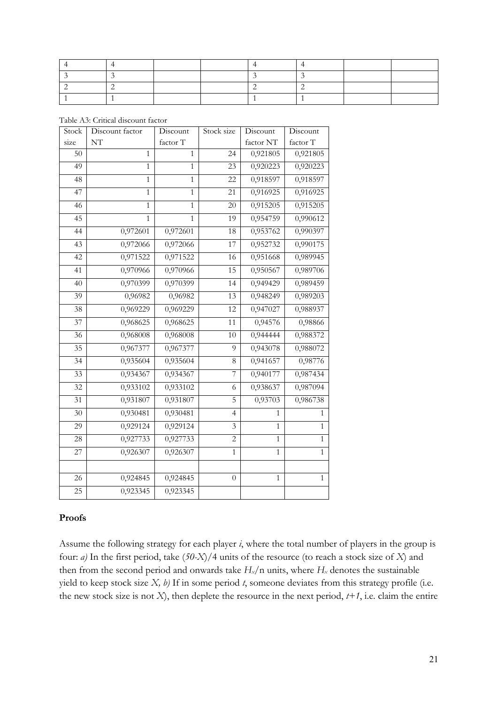Table A3: Critical discount factor

| Stock           | Discount factor | Discount     | Stock size     | Discount     | Discount     |
|-----------------|-----------------|--------------|----------------|--------------|--------------|
| size            | NT              | factor T     |                | factor NT    | factor T     |
| $\overline{50}$ | $\overline{1}$  | $\mathbf{1}$ | 24             | 0,921805     | 0,921805     |
| 49              | $\mathbf{1}$    | $\mathbf{1}$ | 23             | 0,920223     | 0,920223     |
| 48              | $\mathbf{1}$    | $\mathbf{1}$ | 22             | 0,918597     | 0,918597     |
| 47              | $\mathbf{1}$    | $\mathbf{1}$ | 21             | 0,916925     | 0,916925     |
| 46              | $\mathbf{1}$    | $\mathbf{1}$ | 20             | 0,915205     | 0,915205     |
| $\overline{45}$ | $\overline{1}$  | $\mathbf{1}$ | 19             | 0,954759     | 0,990612     |
| 44              | 0,972601        | 0,972601     | 18             | 0,953762     | 0,990397     |
| 43              | 0,972066        | 0,972066     | 17             | 0,952732     | 0,990175     |
| $\overline{42}$ | 0,971522        | 0,971522     | 16             | 0,951668     | 0,989945     |
| $\overline{41}$ | 0,970966        | 0,970966     | 15             | 0,950567     | 0,989706     |
| 40              | 0,970399        | 0,970399     | 14             | 0,949429     | 0,989459     |
| 39              | 0,96982         | 0,96982      | 13             | 0,948249     | 0,989203     |
| $\overline{38}$ | 0,969229        | 0,969229     | 12             | 0,947027     | 0,988937     |
| $\overline{37}$ | 0,968625        | 0,968625     | 11             | 0,94576      | 0,98866      |
| 36              | 0,968008        | 0,968008     | 10             | 0,944444     | 0,988372     |
| $\overline{35}$ | 0,967377        | 0,967377     | 9              | 0,943078     | 0,988072     |
| 34              | 0,935604        | 0,935604     | 8              | 0,941657     | 0,98776      |
| $\overline{33}$ | 0,934367        | 0,934367     | $\overline{7}$ | 0,940177     | 0,987434     |
| $\overline{32}$ | 0,933102        | 0,933102     | 6              | 0,938637     | 0,987094     |
| 31              | 0,931807        | 0,931807     | 5              | 0,93703      | 0,986738     |
| 30              | 0,930481        | 0,930481     | $\overline{4}$ | $\mathbf{1}$ | $\mathbf{1}$ |
| 29              | 0,929124        | 0,929124     | 3              | $\mathbf{1}$ | $\mathbf{1}$ |
| 28              | 0,927733        | 0,927733     | $\overline{2}$ | $\mathbf{1}$ | $\mathbf{1}$ |
| 27              | 0,926307        | 0,926307     | $\mathbf{1}$   | $\mathbf{1}$ | $\mathbf{1}$ |
|                 |                 |              |                |              |              |
| $\overline{26}$ | 0,924845        | 0,924845     | $\overline{0}$ | $\mathbf{1}$ | $\mathbf{1}$ |
| $\overline{25}$ | 0,923345        | 0,923345     |                |              |              |

#### Proofs

Assume the following strategy for each player *i*, where the total number of players in the group is four: *a)* In the first period, take (*50-X*)/4 units of the resource (to reach a stock size of *X*) and then from the second period and onwards take  $H_x/n$  units, where  $H_x$  denotes the sustainable yield to keep stock size *X, b)* If in some period *t*, someone deviates from this strategy profile (i.e. the new stock size is not  $X$ ), then deplete the resource in the next period,  $t+1$ , i.e. claim the entire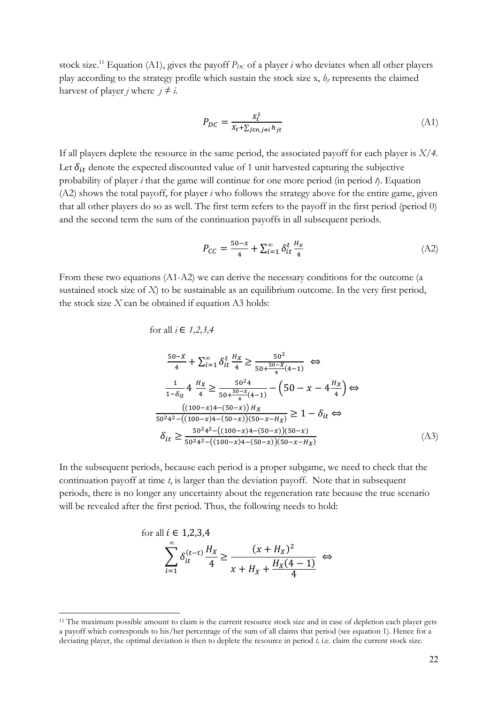stock size.<sup>11</sup> Equation (A1), gives the payoff  $P_{DC}$  of a player *i* who deviates when all other players play according to the strategy profile which sustain the stock size x,  $h_{ij}$  represents the claimed harvest of player *j* where  $j \neq i$ .

$$
P_{DC} = \frac{x_t^2}{x_t + \sum_{j \in n, j \neq i} h_{jt}} \tag{A1}
$$

If all players deplete the resource in the same period, the associated payoff for each player is *X/4.* Let  $\delta_{it}$  denote the expected discounted value of 1 unit harvested capturing the subjective probability of player *i* that the game will continue for one more period (in period *t*). Equation (A2) shows the total payoff, for player *i* who follows the strategy above for the entire game, given that all other players do so as well. The first term refers to the payoff in the first period (period 0) and the second term the sum of the continuation payoffs in all subsequent periods.

$$
P_{CC} = \frac{50 - x}{4} + \sum_{i=1}^{\infty} \delta_{it}^{t} \frac{H_x}{4}
$$
 (A2)

From these two equations (A1-A2) we can derive the necessary conditions for the outcome (a sustained stock size of *X*) to be sustainable as an equilibrium outcome. In the very first period, the stock size  $X$  can be obtained if equation A3 holds:

for all *i* ∈ 1,2,3,4  
\n
$$
\frac{50-X}{4} + \sum_{i=1}^{\infty} \delta_{it}^{t} \frac{H_X}{4} \ge \frac{50^2}{50 + \frac{50-X}{4}(4-1)} \Leftrightarrow
$$
\n
$$
\frac{1}{1-\delta_{it}} 4 \frac{H_X}{4} \ge \frac{50^2 4}{50 + \frac{50-X}{4}(4-1)} - (50 - x - 4\frac{H_X}{4}) \Leftrightarrow
$$
\n
$$
\frac{((100-x)4 - (50-x))H_X}{50^2 4^2 - ((100-x)4 - (50-x))(50-x-H_X)} \ge 1 - \delta_{it} \Leftrightarrow
$$
\n
$$
\delta_{it} \ge \frac{50^2 4^2 - ((100-x)4 - (50-x))(50-x)}{50^2 4^2 - ((100-x)4 - (50-x))(50-x-H_X)}
$$
\n(A3)

In the subsequent periods, because each period is a proper subgame, we need to check that the continuation payoff at time *t*, is larger than the deviation payoff. Note that in subsequent periods, there is no longer any uncertainty about the regeneration rate because the true scenario will be revealed after the first period. Thus, the following needs to hold:

for all 
$$
i \in 1, 2, 3, 4
$$
  

$$
\sum_{i=1}^{\infty} \delta_{it}^{(t-t)} \frac{H_X}{4} \ge \frac{(x + H_X)^2}{x + H_X + \frac{H_X(4-1)}{4}} \iff
$$

 $\overline{a}$ 

<sup>&</sup>lt;sup>11</sup> The maximum possible amount to claim is the current resource stock size and in case of depletion each player gets a payoff which corresponds to his/her percentage of the sum of all claims that period (see equation 1). Hence for a deviating player, the optimal deviation is then to deplete the resource in period *t,* i.e. claim the current stock size.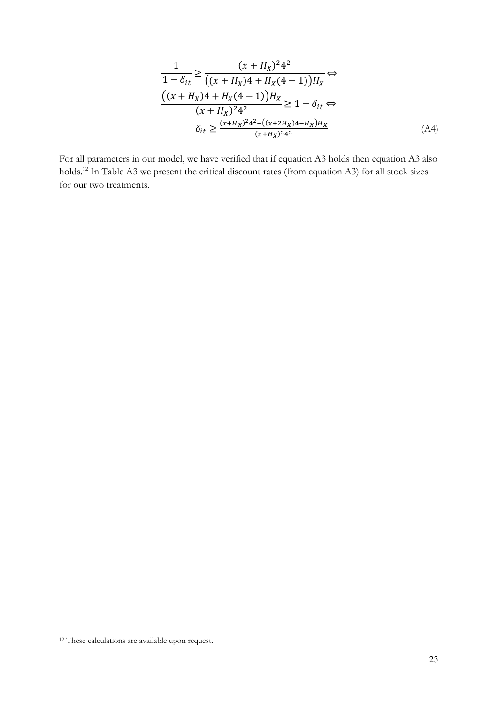$$
\frac{1}{1 - \delta_{it}} \ge \frac{(x + H_X)^2 4^2}{((x + H_X)4 + H_X(4 - 1))H_X} \Leftrightarrow
$$
  

$$
\frac{((x + H_X)4 + H_X(4 - 1))H_X}{(x + H_X)^2 4^2} \ge 1 - \delta_{it} \Leftrightarrow
$$
  

$$
\delta_{it} \ge \frac{(x + H_X)^2 4^2 - ((x + 2H_X)4 - H_X)H_X}{(x + H_X)^2 4^2}
$$
 (A4)

For all parameters in our model, we have verified that if equation A3 holds then equation A3 also holds.12 In Table A3 we present the critical discount rates (from equation A3) for all stock sizes for our two treatments.

 $\overline{a}$ 

<sup>&</sup>lt;sup>12</sup> These calculations are available upon request.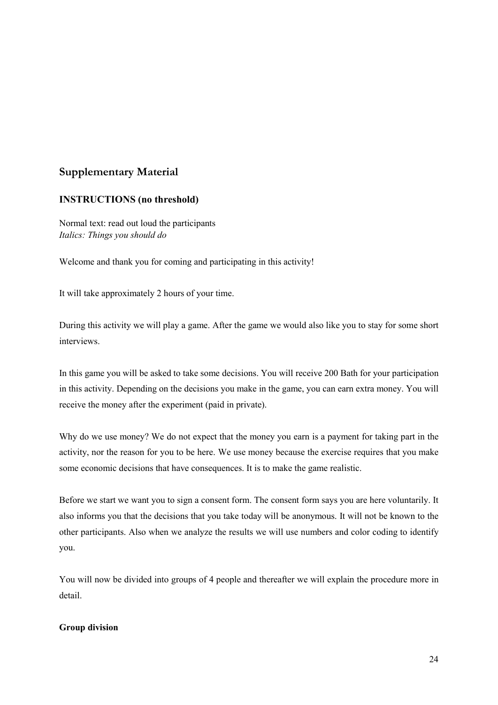## Supplementary Material

### INSTRUCTIONS (no threshold)

Normal text: read out loud the participants *Italics: Things you should do*

Welcome and thank you for coming and participating in this activity!

It will take approximately 2 hours of your time.

During this activity we will play a game. After the game we would also like you to stay for some short interviews.

In this game you will be asked to take some decisions. You will receive 200 Bath for your participation in this activity. Depending on the decisions you make in the game, you can earn extra money. You will receive the money after the experiment (paid in private).

Why do we use money? We do not expect that the money you earn is a payment for taking part in the activity, nor the reason for you to be here. We use money because the exercise requires that you make some economic decisions that have consequences. It is to make the game realistic.

Before we start we want you to sign a consent form. The consent form says you are here voluntarily. It also informs you that the decisions that you take today will be anonymous. It will not be known to the other participants. Also when we analyze the results we will use numbers and color coding to identify you.

You will now be divided into groups of 4 people and thereafter we will explain the procedure more in detail.

#### Group division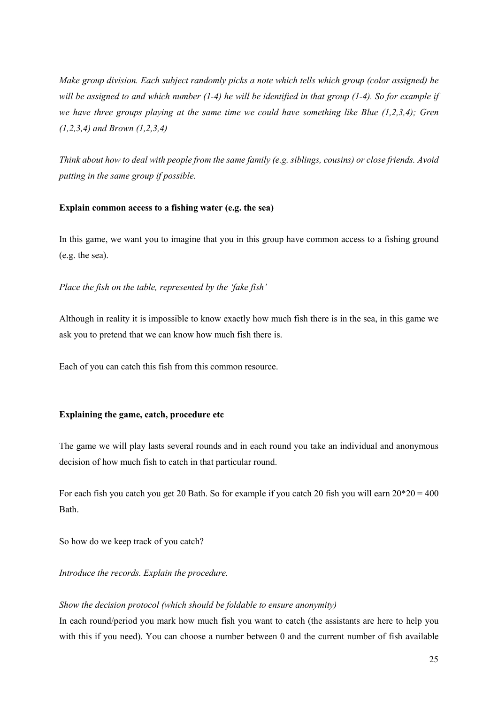*Make group division. Each subject randomly picks a note which tells which group (color assigned) he will be assigned to and which number (1-4) he will be identified in that group (1-4). So for example if we have three groups playing at the same time we could have something like Blue (1,2,3,4); Gren (1,2,3,4) and Brown (1,2,3,4)* 

*Think about how to deal with people from the same family (e.g. siblings, cousins) or close friends. Avoid putting in the same group if possible.* 

#### Explain common access to a fishing water (e.g. the sea)

In this game, we want you to imagine that you in this group have common access to a fishing ground (e.g. the sea).

#### *Place the fish on the table, represented by the 'fake fish'*

Although in reality it is impossible to know exactly how much fish there is in the sea, in this game we ask you to pretend that we can know how much fish there is.

Each of you can catch this fish from this common resource.

#### Explaining the game, catch, procedure etc

The game we will play lasts several rounds and in each round you take an individual and anonymous decision of how much fish to catch in that particular round.

For each fish you catch you get 20 Bath. So for example if you catch 20 fish you will earn  $20*20 = 400$ Bath.

So how do we keep track of you catch?

*Introduce the records. Explain the procedure.* 

#### *Show the decision protocol (which should be foldable to ensure anonymity)*

In each round/period you mark how much fish you want to catch (the assistants are here to help you with this if you need). You can choose a number between 0 and the current number of fish available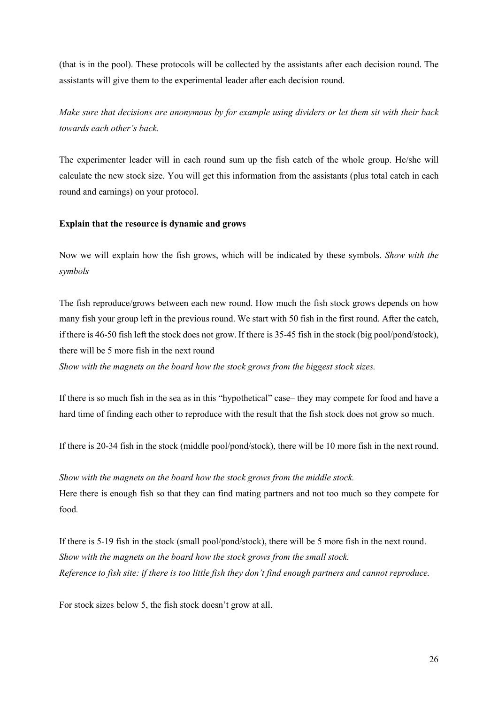(that is in the pool). These protocols will be collected by the assistants after each decision round. The assistants will give them to the experimental leader after each decision round.

*Make sure that decisions are anonymous by for example using dividers or let them sit with their back towards each other's back.*

The experimenter leader will in each round sum up the fish catch of the whole group. He/she will calculate the new stock size. You will get this information from the assistants (plus total catch in each round and earnings) on your protocol.

#### Explain that the resource is dynamic and grows

Now we will explain how the fish grows, which will be indicated by these symbols. *Show with the symbols* 

The fish reproduce/grows between each new round. How much the fish stock grows depends on how many fish your group left in the previous round. We start with 50 fish in the first round. After the catch, if there is 46-50 fish left the stock does not grow. If there is 35-45 fish in the stock (big pool/pond/stock), there will be 5 more fish in the next round

*Show with the magnets on the board how the stock grows from the biggest stock sizes.*

If there is so much fish in the sea as in this "hypothetical" case– they may compete for food and have a hard time of finding each other to reproduce with the result that the fish stock does not grow so much.

If there is 20-34 fish in the stock (middle pool/pond/stock), there will be 10 more fish in the next round.

*Show with the magnets on the board how the stock grows from the middle stock.* Here there is enough fish so that they can find mating partners and not too much so they compete for food*.* 

If there is 5-19 fish in the stock (small pool/pond/stock), there will be 5 more fish in the next round. *Show with the magnets on the board how the stock grows from the small stock. Reference to fish site: if there is too little fish they don't find enough partners and cannot reproduce.*

For stock sizes below 5, the fish stock doesn't grow at all.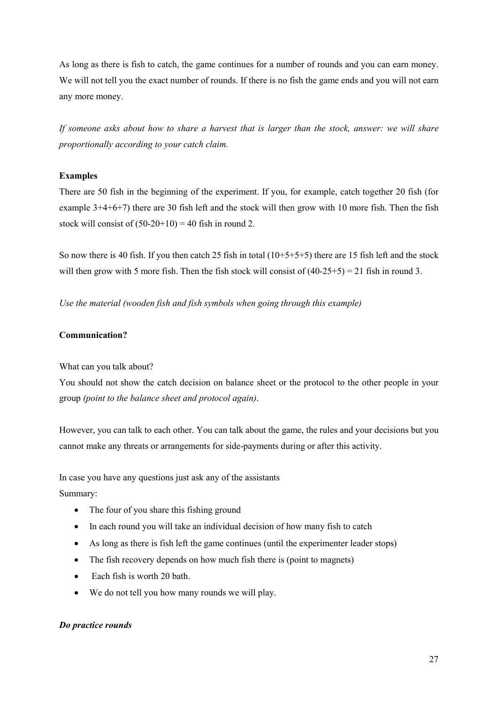As long as there is fish to catch, the game continues for a number of rounds and you can earn money. We will not tell you the exact number of rounds. If there is no fish the game ends and you will not earn any more money.

*If someone asks about how to share a harvest that is larger than the stock, answer: we will share proportionally according to your catch claim.* 

#### Examples

There are 50 fish in the beginning of the experiment. If you, for example, catch together 20 fish (for example 3+4+6+7) there are 30 fish left and the stock will then grow with 10 more fish. Then the fish stock will consist of  $(50-20+10) = 40$  fish in round 2.

So now there is 40 fish. If you then catch 25 fish in total  $(10+5+5+5)$  there are 15 fish left and the stock will then grow with 5 more fish. Then the fish stock will consist of  $(40-25+5) = 21$  fish in round 3.

*Use the material (wooden fish and fish symbols when going through this example)*

#### Communication?

What can you talk about?

You should not show the catch decision on balance sheet or the protocol to the other people in your group *(point to the balance sheet and protocol again)*.

However, you can talk to each other. You can talk about the game, the rules and your decisions but you cannot make any threats or arrangements for side-payments during or after this activity.

In case you have any questions just ask any of the assistants

Summary:

- The four of you share this fishing ground
- In each round you will take an individual decision of how many fish to catch
- As long as there is fish left the game continues (until the experimenter leader stops)
- The fish recovery depends on how much fish there is (point to magnets)
- Each fish is worth 20 bath.
- We do not tell you how many rounds we will play.

#### *Do practice rounds*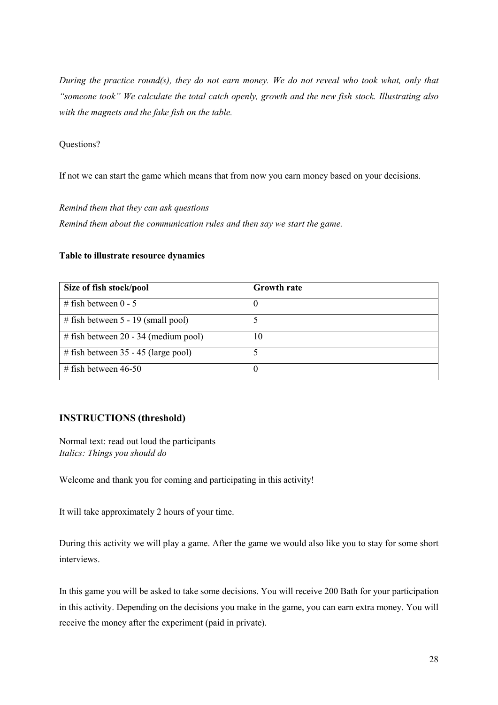*During the practice round(s), they do not earn money. We do not reveal who took what, only that "someone took" We calculate the total catch openly, growth and the new fish stock. Illustrating also with the magnets and the fake fish on the table.*

#### Questions?

If not we can start the game which means that from now you earn money based on your decisions.

*Remind them that they can ask questions Remind them about the communication rules and then say we start the game.* 

#### Table to illustrate resource dynamics

| Size of fish stock/pool                | <b>Growth rate</b> |
|----------------------------------------|--------------------|
| # fish between $0 - 5$                 | $\theta$           |
| # fish between $5 - 19$ (small pool)   |                    |
| # fish between $20 - 34$ (medium pool) | 10                 |
| # fish between $35 - 45$ (large pool)  |                    |
| # fish between $46-50$                 | $\left($           |

#### INSTRUCTIONS (threshold)

Normal text: read out loud the participants *Italics: Things you should do*

Welcome and thank you for coming and participating in this activity!

It will take approximately 2 hours of your time.

During this activity we will play a game. After the game we would also like you to stay for some short interviews.

In this game you will be asked to take some decisions. You will receive 200 Bath for your participation in this activity. Depending on the decisions you make in the game, you can earn extra money. You will receive the money after the experiment (paid in private).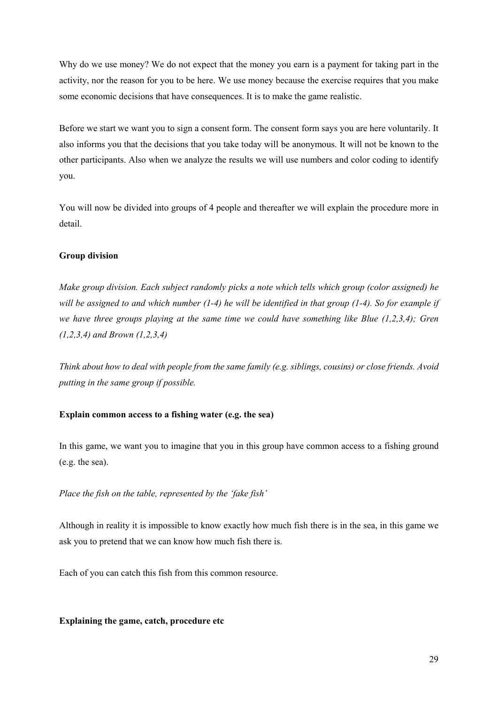Why do we use money? We do not expect that the money you earn is a payment for taking part in the activity, nor the reason for you to be here. We use money because the exercise requires that you make some economic decisions that have consequences. It is to make the game realistic.

Before we start we want you to sign a consent form. The consent form says you are here voluntarily. It also informs you that the decisions that you take today will be anonymous. It will not be known to the other participants. Also when we analyze the results we will use numbers and color coding to identify you.

You will now be divided into groups of 4 people and thereafter we will explain the procedure more in detail.

#### Group division

*Make group division. Each subject randomly picks a note which tells which group (color assigned) he will be assigned to and which number (1-4) he will be identified in that group (1-4). So for example if we have three groups playing at the same time we could have something like Blue (1,2,3,4); Gren (1,2,3,4) and Brown (1,2,3,4)* 

*Think about how to deal with people from the same family (e.g. siblings, cousins) or close friends. Avoid putting in the same group if possible.* 

#### Explain common access to a fishing water (e.g. the sea)

In this game, we want you to imagine that you in this group have common access to a fishing ground (e.g. the sea).

#### *Place the fish on the table, represented by the 'fake fish'*

Although in reality it is impossible to know exactly how much fish there is in the sea, in this game we ask you to pretend that we can know how much fish there is.

Each of you can catch this fish from this common resource.

#### Explaining the game, catch, procedure etc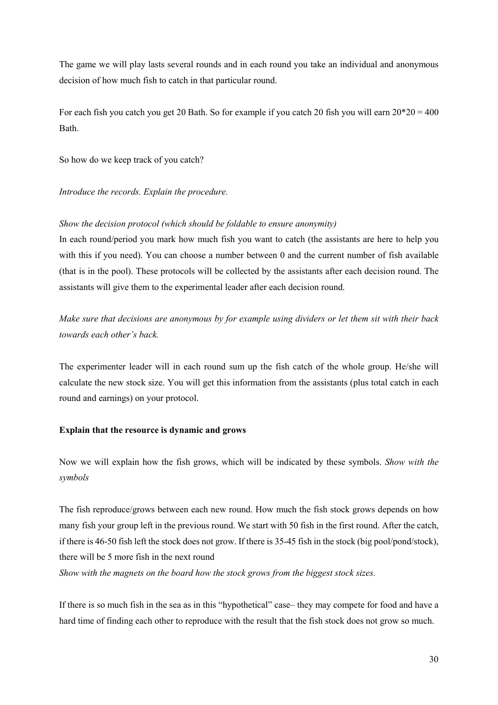The game we will play lasts several rounds and in each round you take an individual and anonymous decision of how much fish to catch in that particular round.

For each fish you catch you get 20 Bath. So for example if you catch 20 fish you will earn  $20*20 = 400$ Bath.

So how do we keep track of you catch?

*Introduce the records. Explain the procedure.* 

#### *Show the decision protocol (which should be foldable to ensure anonymity)*

In each round/period you mark how much fish you want to catch (the assistants are here to help you with this if you need). You can choose a number between 0 and the current number of fish available (that is in the pool). These protocols will be collected by the assistants after each decision round. The assistants will give them to the experimental leader after each decision round.

*Make sure that decisions are anonymous by for example using dividers or let them sit with their back towards each other's back.*

The experimenter leader will in each round sum up the fish catch of the whole group. He/she will calculate the new stock size. You will get this information from the assistants (plus total catch in each round and earnings) on your protocol.

#### Explain that the resource is dynamic and grows

Now we will explain how the fish grows, which will be indicated by these symbols. *Show with the symbols* 

The fish reproduce/grows between each new round. How much the fish stock grows depends on how many fish your group left in the previous round. We start with 50 fish in the first round. After the catch, if there is 46-50 fish left the stock does not grow. If there is 35-45 fish in the stock (big pool/pond/stock), there will be 5 more fish in the next round *Show with the magnets on the board how the stock grows from the biggest stock sizes.*

If there is so much fish in the sea as in this "hypothetical" case– they may compete for food and have a hard time of finding each other to reproduce with the result that the fish stock does not grow so much.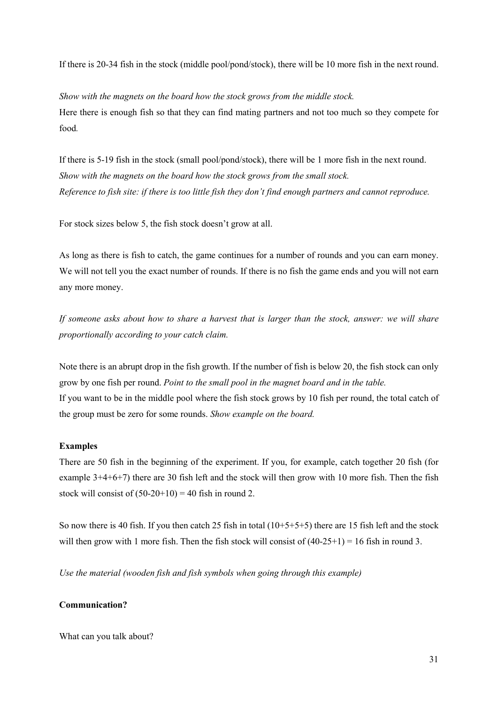If there is 20-34 fish in the stock (middle pool/pond/stock), there will be 10 more fish in the next round.

*Show with the magnets on the board how the stock grows from the middle stock.* Here there is enough fish so that they can find mating partners and not too much so they compete for food*.* 

If there is 5-19 fish in the stock (small pool/pond/stock), there will be 1 more fish in the next round. *Show with the magnets on the board how the stock grows from the small stock. Reference to fish site: if there is too little fish they don't find enough partners and cannot reproduce.*

For stock sizes below 5, the fish stock doesn't grow at all.

As long as there is fish to catch, the game continues for a number of rounds and you can earn money. We will not tell you the exact number of rounds. If there is no fish the game ends and you will not earn any more money.

*If someone asks about how to share a harvest that is larger than the stock, answer: we will share proportionally according to your catch claim.* 

Note there is an abrupt drop in the fish growth. If the number of fish is below 20, the fish stock can only grow by one fish per round. *Point to the small pool in the magnet board and in the table.* If you want to be in the middle pool where the fish stock grows by 10 fish per round, the total catch of the group must be zero for some rounds. *Show example on the board.* 

#### Examples

There are 50 fish in the beginning of the experiment. If you, for example, catch together 20 fish (for example 3+4+6+7) there are 30 fish left and the stock will then grow with 10 more fish. Then the fish stock will consist of  $(50-20+10) = 40$  fish in round 2.

So now there is 40 fish. If you then catch 25 fish in total  $(10+5+5+5)$  there are 15 fish left and the stock will then grow with 1 more fish. Then the fish stock will consist of  $(40-25+1) = 16$  fish in round 3.

*Use the material (wooden fish and fish symbols when going through this example)*

#### Communication?

What can you talk about?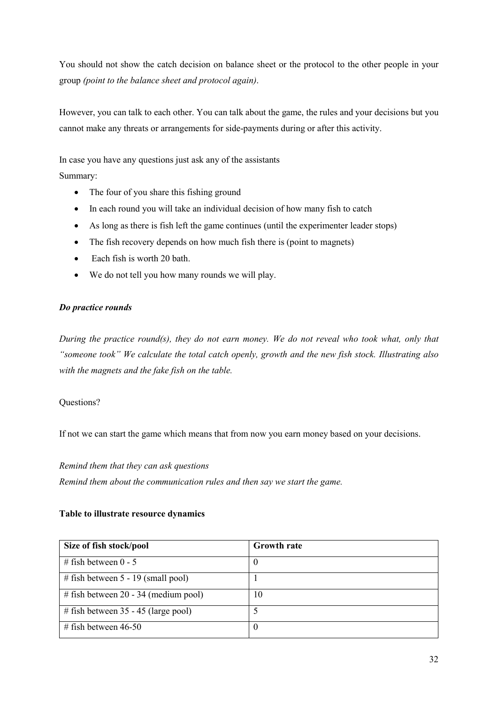You should not show the catch decision on balance sheet or the protocol to the other people in your group *(point to the balance sheet and protocol again)*.

However, you can talk to each other. You can talk about the game, the rules and your decisions but you cannot make any threats or arrangements for side-payments during or after this activity.

In case you have any questions just ask any of the assistants

Summary:

- The four of you share this fishing ground
- In each round you will take an individual decision of how many fish to catch
- As long as there is fish left the game continues (until the experimenter leader stops)
- The fish recovery depends on how much fish there is (point to magnets)
- Each fish is worth 20 bath.
- We do not tell you how many rounds we will play.

#### *Do practice rounds*

*During the practice round(s), they do not earn money. We do not reveal who took what, only that "someone took" We calculate the total catch openly, growth and the new fish stock. Illustrating also with the magnets and the fake fish on the table.*

#### Questions?

If not we can start the game which means that from now you earn money based on your decisions.

#### *Remind them that they can ask questions*

*Remind them about the communication rules and then say we start the game.* 

#### Table to illustrate resource dynamics

| Size of fish stock/pool                | <b>Growth rate</b> |
|----------------------------------------|--------------------|
| # fish between $0 - 5$                 | -0                 |
| # fish between $5 - 19$ (small pool)   |                    |
| # fish between $20 - 34$ (medium pool) | 10                 |
| # fish between $35 - 45$ (large pool)  |                    |
| # fish between $46-50$                 | $\left( \right)$   |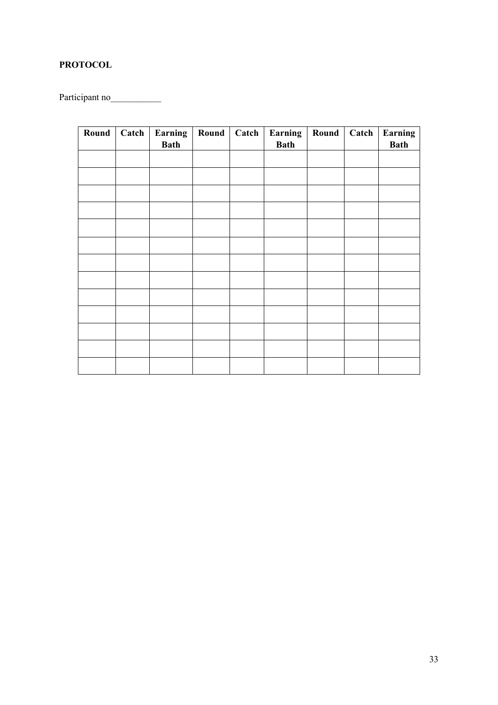## PROTOCOL

Participant no

| Round | Catch | Earning<br><b>Bath</b> | Round | Catch | Earning<br><b>Bath</b> | <b>Round</b> | Catch | Earning<br><b>Bath</b> |
|-------|-------|------------------------|-------|-------|------------------------|--------------|-------|------------------------|
|       |       |                        |       |       |                        |              |       |                        |
|       |       |                        |       |       |                        |              |       |                        |
|       |       |                        |       |       |                        |              |       |                        |
|       |       |                        |       |       |                        |              |       |                        |
|       |       |                        |       |       |                        |              |       |                        |
|       |       |                        |       |       |                        |              |       |                        |
|       |       |                        |       |       |                        |              |       |                        |
|       |       |                        |       |       |                        |              |       |                        |
|       |       |                        |       |       |                        |              |       |                        |
|       |       |                        |       |       |                        |              |       |                        |
|       |       |                        |       |       |                        |              |       |                        |
|       |       |                        |       |       |                        |              |       |                        |
|       |       |                        |       |       |                        |              |       |                        |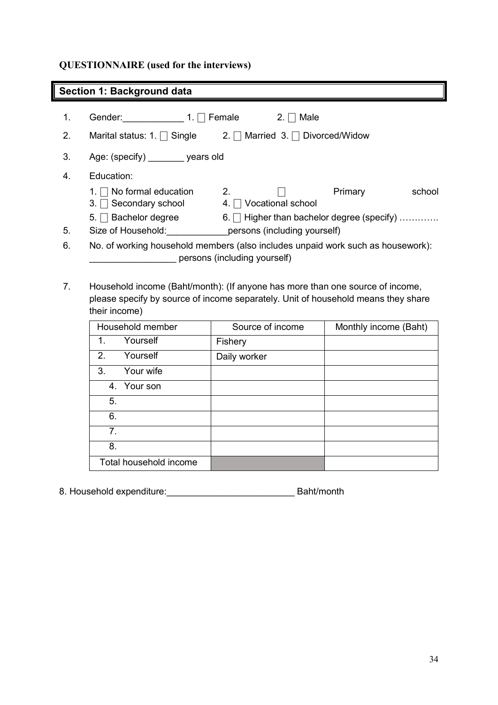## QUESTIONNAIRE (used for the interviews)

## Section 1: Background data

| 1. | Gender: $1. \Box$ Female                                                        |                                       | Male                             |                                                 |        |
|----|---------------------------------------------------------------------------------|---------------------------------------|----------------------------------|-------------------------------------------------|--------|
| 2. | Marital status: 1. $\Box$ Single                                                |                                       | 2.   Married 3.   Divorced/Widow |                                                 |        |
| 3. | Age: (specify) years old                                                        |                                       |                                  |                                                 |        |
| 4. | Education:                                                                      |                                       |                                  |                                                 |        |
|    | 1. $\Box$ No formal education<br>3. $\Box$ Secondary school                     | $2_{\cdot}$<br>4.   Vocational school |                                  | Primary                                         | school |
|    | $5. \Box$ Bachelor degree                                                       |                                       |                                  | 6. $\Box$ Higher than bachelor degree (specify) |        |
| 5. | Size of Household:                                                              |                                       | persons (including yourself)     |                                                 |        |
| 6. | No. of working household members (also includes unpaid work such as housework): | persons (including yourself)          |                                  |                                                 |        |

7. Household income (Baht/month): (If anyone has more than one source of income, please specify by source of income separately. Unit of household means they share their income)

| Household member        | Source of income | Monthly income (Baht) |
|-------------------------|------------------|-----------------------|
| Yourself<br>$\mathbf 1$ | Fishery          |                       |
| 2.<br>Yourself          | Daily worker     |                       |
| Your wife<br>3.         |                  |                       |
| 4. Your son             |                  |                       |
| 5.                      |                  |                       |
| 6.                      |                  |                       |
| 7 <sub>1</sub>          |                  |                       |
| 8.                      |                  |                       |
| Total household income  |                  |                       |

8. Household expenditure:\_\_\_\_\_\_\_\_\_\_\_\_\_\_\_\_\_\_\_\_\_\_\_\_\_ Baht/month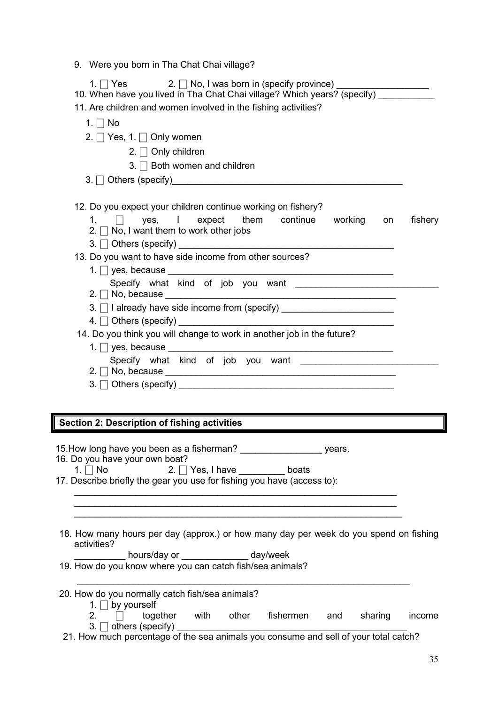|  |  |  | 9. Were you born in Tha Chat Chai village? |  |  |
|--|--|--|--------------------------------------------|--|--|
|--|--|--|--------------------------------------------|--|--|

| 1. $\Box$ No                                                                    |         |
|---------------------------------------------------------------------------------|---------|
| 2. $\Box$ Yes, 1. $\Box$ Only women                                             |         |
| 2. $\Box$ Only children                                                         |         |
| 3. □ Both women and children                                                    |         |
|                                                                                 |         |
|                                                                                 |         |
| 12. Do you expect your children continue working on fishery?                    |         |
| yes, I expect them continue working on<br>1. $\Box$                             | fishery |
| 2. $\Box$ No, I want them to work other jobs                                    |         |
|                                                                                 |         |
| 13. Do you want to have side income from other sources?                         |         |
|                                                                                 |         |
|                                                                                 |         |
| 3. □ I already have side income from (specify) ________________________________ |         |
|                                                                                 |         |
| 14. Do you think you will change to work in another job in the future?          |         |
|                                                                                 |         |
|                                                                                 |         |
| $2. \Box$ No, because $\Box$                                                    |         |
|                                                                                 |         |
|                                                                                 |         |

15. How long have you been as a fisherman? \_\_\_\_\_\_\_\_\_\_\_\_\_\_\_\_\_\_\_\_\_\_\_\_ years.<br>16. Do you have your own boat?

| 16. Do you have your own boat? |                                                                          |       |
|--------------------------------|--------------------------------------------------------------------------|-------|
| 1. $\Box$ No                   | 2. $\Box$ Yes, I have                                                    | boats |
|                                | $\overline{a}$ , and the contract of $\overline{a}$ , and $\overline{a}$ |       |

17. Describe briefly the gear you use for fishing you have (access to):

| 18. How many hours per day (approx.) or how many day per week do you spend on fishing |  |  |  |  |  |  |  |
|---------------------------------------------------------------------------------------|--|--|--|--|--|--|--|
| activities?                                                                           |  |  |  |  |  |  |  |

 $\_$  , and the set of the set of the set of the set of the set of the set of the set of the set of the set of the set of the set of the set of the set of the set of the set of the set of the set of the set of the set of th  $\_$  , and the set of the set of the set of the set of the set of the set of the set of the set of the set of the set of the set of the set of the set of the set of the set of the set of the set of the set of the set of th  $\_$  , and the set of the set of the set of the set of the set of the set of the set of the set of the set of the set of the set of the set of the set of the set of the set of the set of the set of the set of the set of th

\_\_\_\_\_\_\_\_\_\_ hours/day or \_\_\_\_\_\_\_\_\_\_\_\_\_ day/week

19. How do you know where you can catch fish/sea animals?

#### 20. How do you normally catch fish/sea animals?

- 1.  $\Box$  by yourself<br>2.  $\Box$  toge together with other fishermen and sharing income 3.  $\Box$  others (specify)
- 21. How much percentage of the sea animals you consume and sell of your total catch?

 $\_$  , and the set of the set of the set of the set of the set of the set of the set of the set of the set of the set of the set of the set of the set of the set of the set of the set of the set of the set of the set of th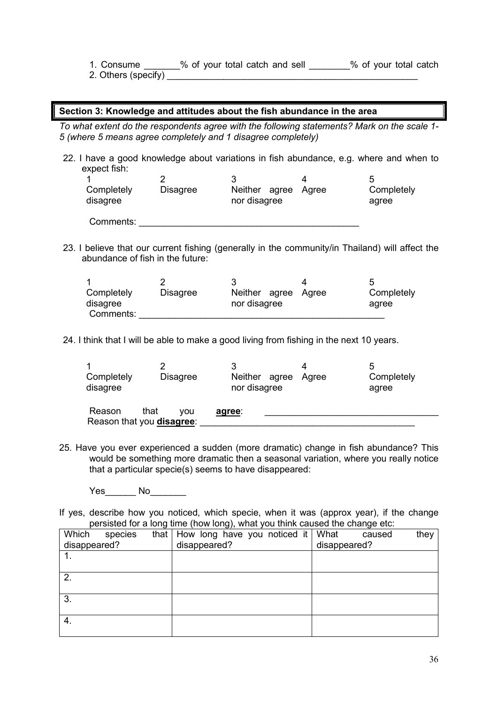- 1. Consume \_\_\_\_\_\_\_% of your total catch and sell \_\_\_\_\_\_\_\_% of your total catch
- 2. Others (specify)

#### Section 3: Knowledge and attitudes about the fish abundance in the area

*To what extent do the respondents agree with the following statements? Mark on the scale 1- 5 (where 5 means agree completely and 1 disagree completely)*

22. I have a good knowledge about variations in fish abundance, e.g. where and when to expect fish:

| Completely<br>disagree | <b>Disagree</b> | Neither agree<br>nor disagree | Aaree | Completely<br>agree |
|------------------------|-----------------|-------------------------------|-------|---------------------|
| Comments:              |                 |                               |       |                     |

23. I believe that our current fishing (generally in the community/in Thailand) will affect the abundance of fish in the future:

| Completely<br>disagree<br>Comments: | <b>Disagree</b> | Neither agree Agree<br>nor disagree | Completely<br>agree |
|-------------------------------------|-----------------|-------------------------------------|---------------------|

24. I think that I will be able to make a good living from fishing in the next 10 years.

| Completely<br>disagree            | <b>Disagree</b> | Neither agree<br>nor disagree | Agree | 5<br>Completely<br>agree |
|-----------------------------------|-----------------|-------------------------------|-------|--------------------------|
| that<br>Reason                    | vou             | agree:                        |       |                          |
| Reason that you <b>disagree</b> : |                 |                               |       |                          |

25. Have you ever experienced a sudden (more dramatic) change in fish abundance? This would be something more dramatic then a seasonal variation, where you really notice that a particular specie(s) seems to have disappeared:

Yes\_\_\_\_\_\_ No\_\_\_\_\_\_\_\_

If yes, describe how you noticed, which specie, when it was (approx year), if the change persisted for a long time (how long), what you think caused the change etc:

| Which        | species | that $\vert$ How long have you noticed it $\vert$ |  | What         | caused | they |
|--------------|---------|---------------------------------------------------|--|--------------|--------|------|
| disappeared? |         | disappeared?                                      |  | disappeared? |        |      |
|              |         |                                                   |  |              |        |      |
|              |         |                                                   |  |              |        |      |
| 2.           |         |                                                   |  |              |        |      |
|              |         |                                                   |  |              |        |      |
| 3.           |         |                                                   |  |              |        |      |
|              |         |                                                   |  |              |        |      |
| 4.           |         |                                                   |  |              |        |      |
|              |         |                                                   |  |              |        |      |